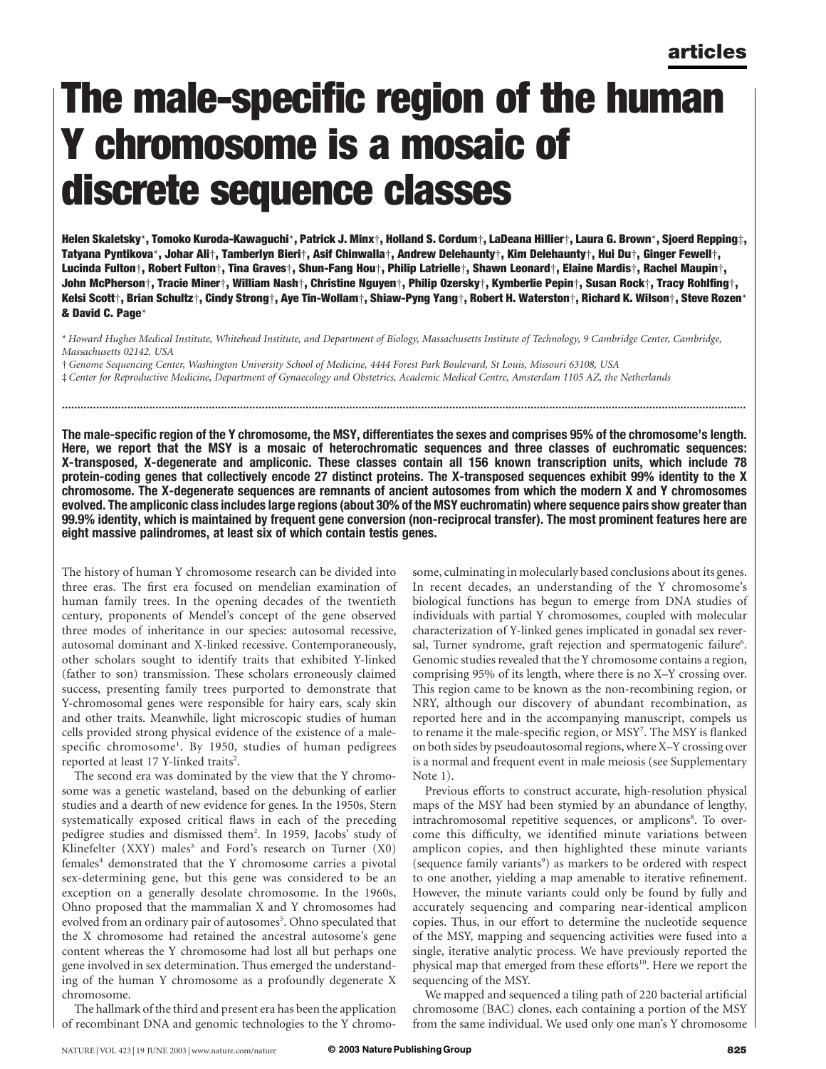# The male-specific region of the human Y chromosome is a mosaic of discrete sequence classes

Helen Skaletsky\*, Tomoko Kuroda-Kawaguchi\*, Patrick J. Minx†, Holland S. Cordum†, LaDeana Hillier†, Laura G. Brown\*, Sjoerd Repping‡, Tatyana Pyntikova\*, Johar Ali†, Tamberlyn Bieri†, Asif Chinwalla†, Andrew Delehaunty†, Kim Delehaunty†, Hui Du†, Ginger Fewell†, Lucinda Fulton†, Robert Fulton†, Tina Graves†, Shun-Fang Hou†, Philip Latrielle†, Shawn Leonard†, Elaine Mardis†, Rachel Maupin†, John McPherson†, Tracie Miner†, William Nash†, Christine Nguyen†, Philip Ozersky†, Kymberlie Pepin†, Susan Rock†, Tracy Rohlfing†, Kelsi Scott†, Brian Schultz†, Cindy Strong†, Aye Tin-Wollam†, Shiaw-Pyng Yang†, Robert H. Waterston†, Richard K. Wilson†, Steve Rozen\* & David C. Page\*

\* Howard Hughes Medical Institute, Whitehead Institute, and Department of Biology, Massachusetts Institute of Technology, 9 Cambridge Center, Cambridge, Massachusetts 02142, USA

†Genome Sequencing Center, Washington University School of Medicine, 4444 Forest Park Boulevard, St Louis, Missouri 63108, USA

‡ Center for Reproductive Medicine, Department of Gynaecology and Obstetrics, Academic Medical Centre, Amsterdam 1105 AZ, the Netherlands

The male-specific region of the Y chromosome, the MSY, differentiates the sexes and comprises 95% of the chromosome's length. Here, we report that the MSY is a mosaic of heterochromatic sequences and three classes of euchromatic sequences: X-transposed, X-degenerate and ampliconic. These classes contain all 156 known transcription units, which include 78 protein-coding genes that collectively encode 27 distinct proteins. The X-transposed sequences exhibit 99% identity to the X chromosome. The X-degenerate sequences are remnants of ancient autosomes from which the modern X and Y chromosomes evolved. The ampliconic class includes large regions (about 30% of the MSY euchromatin) where sequence pairs show greater than 99.9% identity, which is maintained by frequent gene conversion (non-reciprocal transfer). The most prominent features here are eight massive palindromes, at least six of which contain testis genes.

...........................................................................................................................................................................................................................

The history of human Y chromosome research can be divided into three eras. The first era focused on mendelian examination of human family trees. In the opening decades of the twentieth century, proponents of Mendel's concept of the gene observed three modes of inheritance in our species: autosomal recessive, autosomal dominant and X-linked recessive. Contemporaneously, other scholars sought to identify traits that exhibited Y-linked (father to son) transmission. These scholars erroneously claimed success, presenting family trees purported to demonstrate that Y-chromosomal genes were responsible for hairy ears, scaly skin and other traits. Meanwhile, light microscopic studies of human cells provided strong physical evidence of the existence of a malespecific chromosome<sup>1</sup>. By 1950, studies of human pedigrees reported at least 17 Y-linked traits<sup>2</sup>.

The second era was dominated by the view that the Y chromosome was a genetic wasteland, based on the debunking of earlier studies and a dearth of new evidence for genes. In the 1950s, Stern systematically exposed critical flaws in each of the preceding pedigree studies and dismissed them<sup>2</sup>. In 1959, Jacobs' study of Klinefelter  $(XXY)$  males<sup>3</sup> and Ford's research on Turner  $(X0)$ females<sup>4</sup> demonstrated that the Y chromosome carries a pivotal sex-determining gene, but this gene was considered to be an exception on a generally desolate chromosome. In the 1960s, Ohno proposed that the mammalian X and Y chromosomes had evolved from an ordinary pair of autosomes<sup>5</sup>. Ohno speculated that the X chromosome had retained the ancestral autosome's gene content whereas the Y chromosome had lost all but perhaps one gene involved in sex determination. Thus emerged the understanding of the human Y chromosome as a profoundly degenerate X chromosome.

The hallmark of the third and present era has been the application of recombinant DNA and genomic technologies to the Y chromosome, culminating in molecularly based conclusions about its genes. In recent decades, an understanding of the Y chromosome's biological functions has begun to emerge from DNA studies of individuals with partial Y chromosomes, coupled with molecular characterization of Y-linked genes implicated in gonadal sex reversal, Turner syndrome, graft rejection and spermatogenic failure<sup>6</sup>. Genomic studies revealed that the Y chromosome contains a region, comprising 95% of its length, where there is no X–Y crossing over. This region came to be known as the non-recombining region, or NRY, although our discovery of abundant recombination, as reported here and in the accompanying manuscript, compels us to rename it the male-specific region, or MSY<sup>7</sup>. The MSY is flanked on both sides by pseudoautosomal regions, where X–Y crossing over is a normal and frequent event in male meiosis (see Supplementary Note 1).

Previous efforts to construct accurate, high-resolution physical maps of the MSY had been stymied by an abundance of lengthy, intrachromosomal repetitive sequences, or amplicons<sup>8</sup>. To overcome this difficulty, we identified minute variations between amplicon copies, and then highlighted these minute variants (sequence family variants<sup>9</sup>) as markers to be ordered with respect to one another, yielding a map amenable to iterative refinement. However, the minute variants could only be found by fully and accurately sequencing and comparing near-identical amplicon copies. Thus, in our effort to determine the nucleotide sequence of the MSY, mapping and sequencing activities were fused into a single, iterative analytic process. We have previously reported the physical map that emerged from these efforts<sup>10</sup>. Here we report the sequencing of the MSY.

We mapped and sequenced a tiling path of 220 bacterial artificial chromosome (BAC) clones, each containing a portion of the MSY from the same individual. We used only one man's Y chromosome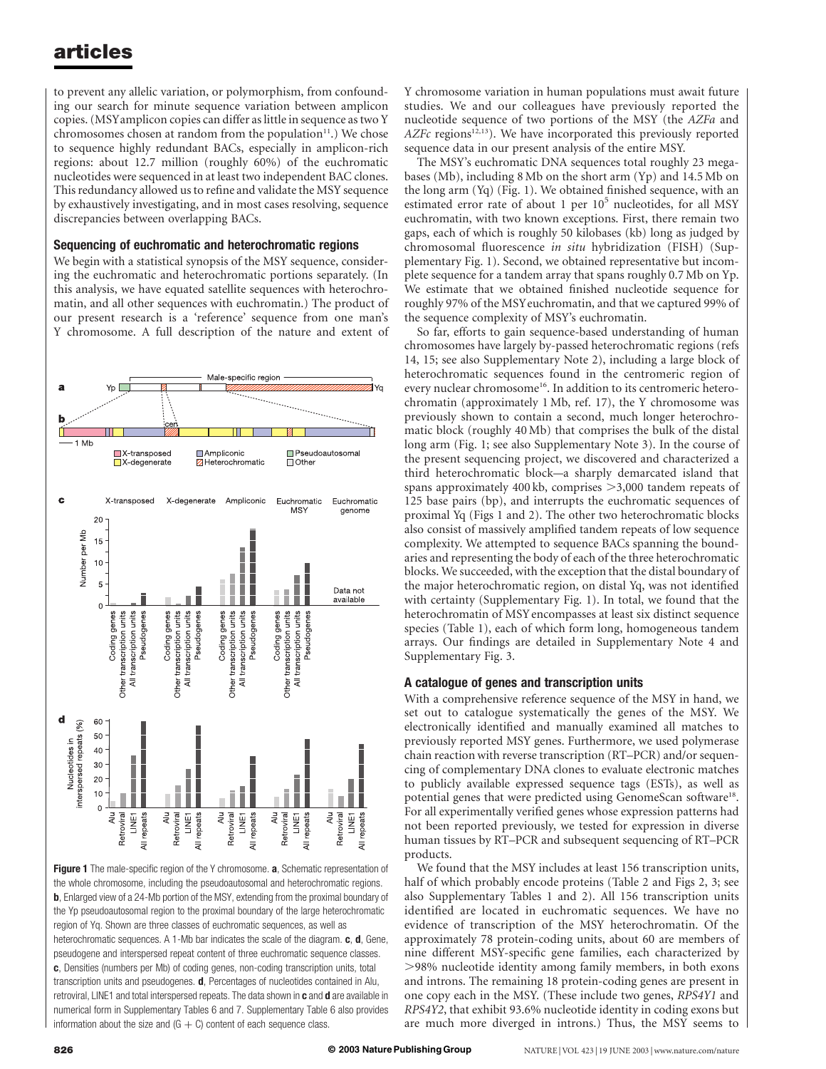to prevent any allelic variation, or polymorphism, from confounding our search for minute sequence variation between amplicon copies. (MSYamplicon copies can differ as little in sequence as two Y chromosomes chosen at random from the population $11$ .) We chose to sequence highly redundant BACs, especially in amplicon-rich regions: about 12.7 million (roughly 60%) of the euchromatic nucleotides were sequenced in at least two independent BAC clones. This redundancy allowed us to refine and validate the MSY sequence by exhaustively investigating, and in most cases resolving, sequence discrepancies between overlapping BACs.

### Sequencing of euchromatic and heterochromatic regions

We begin with a statistical synopsis of the MSY sequence, considering the euchromatic and heterochromatic portions separately. (In this analysis, we have equated satellite sequences with heterochromatin, and all other sequences with euchromatin.) The product of our present research is a 'reference' sequence from one man's Y chromosome. A full description of the nature and extent of



Figure 1 The male-specific region of the Y chromosome. a, Schematic representation of the whole chromosome, including the pseudoautosomal and heterochromatic regions. b, Enlarged view of a 24-Mb portion of the MSY, extending from the proximal boundary of the Yp pseudoautosomal region to the proximal boundary of the large heterochromatic region of Yq. Shown are three classes of euchromatic sequences, as well as heterochromatic sequences. A 1-Mb bar indicates the scale of the diagram.  $c, d$ , Gene, pseudogene and interspersed repeat content of three euchromatic sequence classes. c, Densities (numbers per Mb) of coding genes, non-coding transcription units, total transcription units and pseudogenes. d, Percentages of nucleotides contained in Alu, retroviral, LINE1 and total interspersed repeats. The data shown in c and d are available in numerical form in Supplementary Tables 6 and 7. Supplementary Table 6 also provides information about the size and  $(G + C)$  content of each sequence class.

Y chromosome variation in human populations must await future studies. We and our colleagues have previously reported the nucleotide sequence of two portions of the MSY (the AZFa and  $AZFc$  regions<sup>12,13</sup>). We have incorporated this previously reported sequence data in our present analysis of the entire MSY.

The MSY's euchromatic DNA sequences total roughly 23 megabases (Mb), including 8 Mb on the short arm (Yp) and 14.5 Mb on the long arm (Yq) (Fig. 1). We obtained finished sequence, with an estimated error rate of about 1 per  $10^5$  nucleotides, for all MSY euchromatin, with two known exceptions. First, there remain two gaps, each of which is roughly 50 kilobases (kb) long as judged by chromosomal fluorescence in situ hybridization (FISH) (Supplementary Fig. 1). Second, we obtained representative but incomplete sequence for a tandem array that spans roughly 0.7 Mb on Yp. We estimate that we obtained finished nucleotide sequence for roughly 97% of the MSYeuchromatin, and that we captured 99% of the sequence complexity of MSY's euchromatin.

So far, efforts to gain sequence-based understanding of human chromosomes have largely by-passed heterochromatic regions (refs 14, 15; see also Supplementary Note 2), including a large block of heterochromatic sequences found in the centromeric region of every nuclear chromosome<sup>16</sup>. In addition to its centromeric heterochromatin (approximately 1 Mb, ref. 17), the Y chromosome was previously shown to contain a second, much longer heterochromatic block (roughly 40 Mb) that comprises the bulk of the distal long arm (Fig. 1; see also Supplementary Note 3). In the course of the present sequencing project, we discovered and characterized a third heterochromatic block—a sharply demarcated island that spans approximately 400 kb, comprises  $>3,000$  tandem repeats of 125 base pairs (bp), and interrupts the euchromatic sequences of proximal Yq (Figs 1 and 2). The other two heterochromatic blocks also consist of massively amplified tandem repeats of low sequence complexity. We attempted to sequence BACs spanning the boundaries and representing the body of each of the three heterochromatic blocks. We succeeded, with the exception that the distal boundary of the major heterochromatic region, on distal Yq, was not identified with certainty (Supplementary Fig. 1). In total, we found that the heterochromatin of MSY encompasses at least six distinct sequence species (Table 1), each of which form long, homogeneous tandem arrays. Our findings are detailed in Supplementary Note 4 and Supplementary Fig. 3.

### A catalogue of genes and transcription units

With a comprehensive reference sequence of the MSY in hand, we set out to catalogue systematically the genes of the MSY. We electronically identified and manually examined all matches to previously reported MSY genes. Furthermore, we used polymerase chain reaction with reverse transcription (RT–PCR) and/or sequencing of complementary DNA clones to evaluate electronic matches to publicly available expressed sequence tags (ESTs), as well as potential genes that were predicted using GenomeScan software<sup>18</sup>. For all experimentally verified genes whose expression patterns had not been reported previously, we tested for expression in diverse human tissues by RT–PCR and subsequent sequencing of RT–PCR products.

We found that the MSY includes at least 156 transcription units, half of which probably encode proteins (Table 2 and Figs 2, 3; see also Supplementary Tables 1 and 2). All 156 transcription units identified are located in euchromatic sequences. We have no evidence of transcription of the MSY heterochromatin. Of the approximately 78 protein-coding units, about 60 are members of nine different MSY-specific gene families, each characterized by .98% nucleotide identity among family members, in both exons and introns. The remaining 18 protein-coding genes are present in one copy each in the MSY. (These include two genes, RPS4Y1 and RPS4Y2, that exhibit 93.6% nucleotide identity in coding exons but are much more diverged in introns.) Thus, the MSY seems to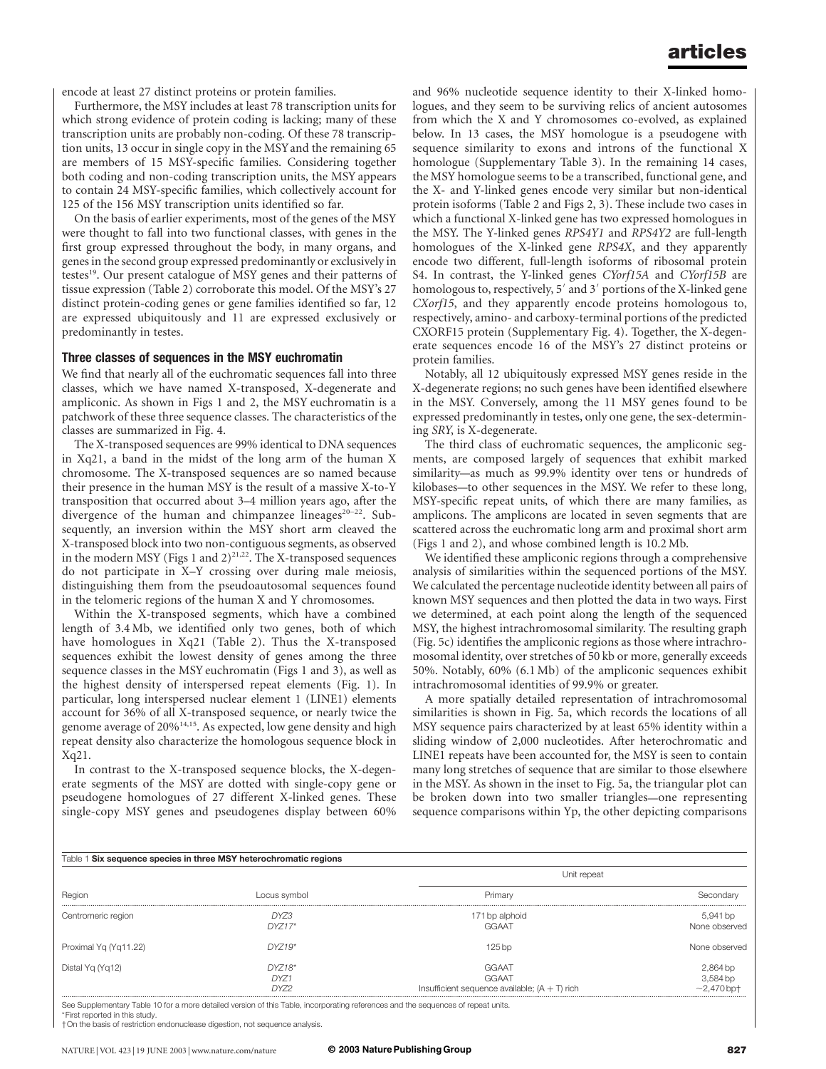encode at least 27 distinct proteins or protein families.

Furthermore, the MSY includes at least 78 transcription units for which strong evidence of protein coding is lacking; many of these transcription units are probably non-coding. Of these 78 transcription units, 13 occur in single copy in the MSYand the remaining 65 are members of 15 MSY-specific families. Considering together both coding and non-coding transcription units, the MSY appears to contain 24 MSY-specific families, which collectively account for 125 of the 156 MSY transcription units identified so far.

On the basis of earlier experiments, most of the genes of the MSY were thought to fall into two functional classes, with genes in the first group expressed throughout the body, in many organs, and genes in the second group expressed predominantly or exclusively in testes<sup>19</sup>. Our present catalogue of MSY genes and their patterns of tissue expression (Table 2) corroborate this model. Of the MSY's 27 distinct protein-coding genes or gene families identified so far, 12 are expressed ubiquitously and 11 are expressed exclusively or predominantly in testes.

### Three classes of sequences in the MSY euchromatin

We find that nearly all of the euchromatic sequences fall into three classes, which we have named X-transposed, X-degenerate and ampliconic. As shown in Figs 1 and 2, the MSY euchromatin is a patchwork of these three sequence classes. The characteristics of the classes are summarized in Fig. 4.

The X-transposed sequences are 99% identical to DNA sequences in Xq21, a band in the midst of the long arm of the human X chromosome. The X-transposed sequences are so named because their presence in the human MSY is the result of a massive X-to-Y transposition that occurred about 3–4 million years ago, after the divergence of the human and chimpanzee lineages<sup>20-22</sup>. Subsequently, an inversion within the MSY short arm cleaved the X-transposed block into two non-contiguous segments, as observed in the modern MSY (Figs 1 and  $2)^{21,22}$ . The X-transposed sequences do not participate in X–Y crossing over during male meiosis, distinguishing them from the pseudoautosomal sequences found in the telomeric regions of the human X and Y chromosomes.

Within the X-transposed segments, which have a combined length of 3.4 Mb, we identified only two genes, both of which have homologues in Xq21 (Table 2). Thus the X-transposed sequences exhibit the lowest density of genes among the three sequence classes in the MSY euchromatin (Figs 1 and 3), as well as the highest density of interspersed repeat elements (Fig. 1). In particular, long interspersed nuclear element 1 (LINE1) elements account for 36% of all X-transposed sequence, or nearly twice the genome average of 20%<sup>14,15</sup>. As expected, low gene density and high repeat density also characterize the homologous sequence block in Xq21.

In contrast to the X-transposed sequence blocks, the X-degenerate segments of the MSY are dotted with single-copy gene or pseudogene homologues of 27 different X-linked genes. These single-copy MSY genes and pseudogenes display between 60%

and 96% nucleotide sequence identity to their X-linked homologues, and they seem to be surviving relics of ancient autosomes from which the X and Y chromosomes co-evolved, as explained below. In 13 cases, the MSY homologue is a pseudogene with sequence similarity to exons and introns of the functional X homologue (Supplementary Table 3). In the remaining 14 cases, the MSY homologue seems to be a transcribed, functional gene, and the X- and Y-linked genes encode very similar but non-identical protein isoforms (Table 2 and Figs 2, 3). These include two cases in which a functional X-linked gene has two expressed homologues in the MSY. The Y-linked genes RPS4Y1 and RPS4Y2 are full-length homologues of the X-linked gene RPS4X, and they apparently encode two different, full-length isoforms of ribosomal protein S4. In contrast, the Y-linked genes CYorf15A and CYorf15B are homologous to, respectively, 5' and 3' portions of the X-linked gene CXorf15, and they apparently encode proteins homologous to, respectively, amino- and carboxy-terminal portions of the predicted CXORF15 protein (Supplementary Fig. 4). Together, the X-degenerate sequences encode 16 of the MSY's 27 distinct proteins or protein families.

Notably, all 12 ubiquitously expressed MSY genes reside in the X-degenerate regions; no such genes have been identified elsewhere in the MSY. Conversely, among the 11 MSY genes found to be expressed predominantly in testes, only one gene, the sex-determining SRY, is X-degenerate.

The third class of euchromatic sequences, the ampliconic segments, are composed largely of sequences that exhibit marked similarity—as much as 99.9% identity over tens or hundreds of kilobases—to other sequences in the MSY. We refer to these long, MSY-specific repeat units, of which there are many families, as amplicons. The amplicons are located in seven segments that are scattered across the euchromatic long arm and proximal short arm (Figs 1 and 2), and whose combined length is 10.2 Mb.

We identified these ampliconic regions through a comprehensive analysis of similarities within the sequenced portions of the MSY. We calculated the percentage nucleotide identity between all pairs of known MSY sequences and then plotted the data in two ways. First we determined, at each point along the length of the sequenced MSY, the highest intrachromosomal similarity. The resulting graph (Fig. 5c) identifies the ampliconic regions as those where intrachromosomal identity, over stretches of 50 kb or more, generally exceeds 50%. Notably, 60% (6.1 Mb) of the ampliconic sequences exhibit intrachromosomal identities of 99.9% or greater.

A more spatially detailed representation of intrachromosomal similarities is shown in Fig. 5a, which records the locations of all MSY sequence pairs characterized by at least 65% identity within a sliding window of 2,000 nucleotides. After heterochromatic and LINE1 repeats have been accounted for, the MSY is seen to contain many long stretches of sequence that are similar to those elsewhere in the MSY. As shown in the inset to Fig. 5a, the triangular plot can be broken down into two smaller triangles—one representing sequence comparisons within Yp, the other depicting comparisons

|                       |                        | Unit repeat                                                       |                                          |
|-----------------------|------------------------|-------------------------------------------------------------------|------------------------------------------|
| Region                | Locus symbol           | Primary                                                           | Secondary                                |
| Centromeric region    | DYZ3<br>DY717*         | 171 bp alphoid<br>GGAAT                                           | 5,941 bp<br>None observed                |
| Proximal Yg (Yg11.22) | DY719*                 | 125 <sub>bp</sub>                                                 | None observed                            |
| Distal Yg (Yg12)      | DY718*<br>DY71<br>DY72 | GGAAT<br>GGAAT<br>Insufficient sequence available; $(A + T)$ rich | 2,864 bp<br>3,584 bp<br>$\sim$ 2.470 bpt |

See Supplementary Table 10 for a more detailed version of this Table, incorporating references and the sequences of repeat units.

\*First reported in this study.

†On the basis of restriction endonuclease digestion, not sequence analysis.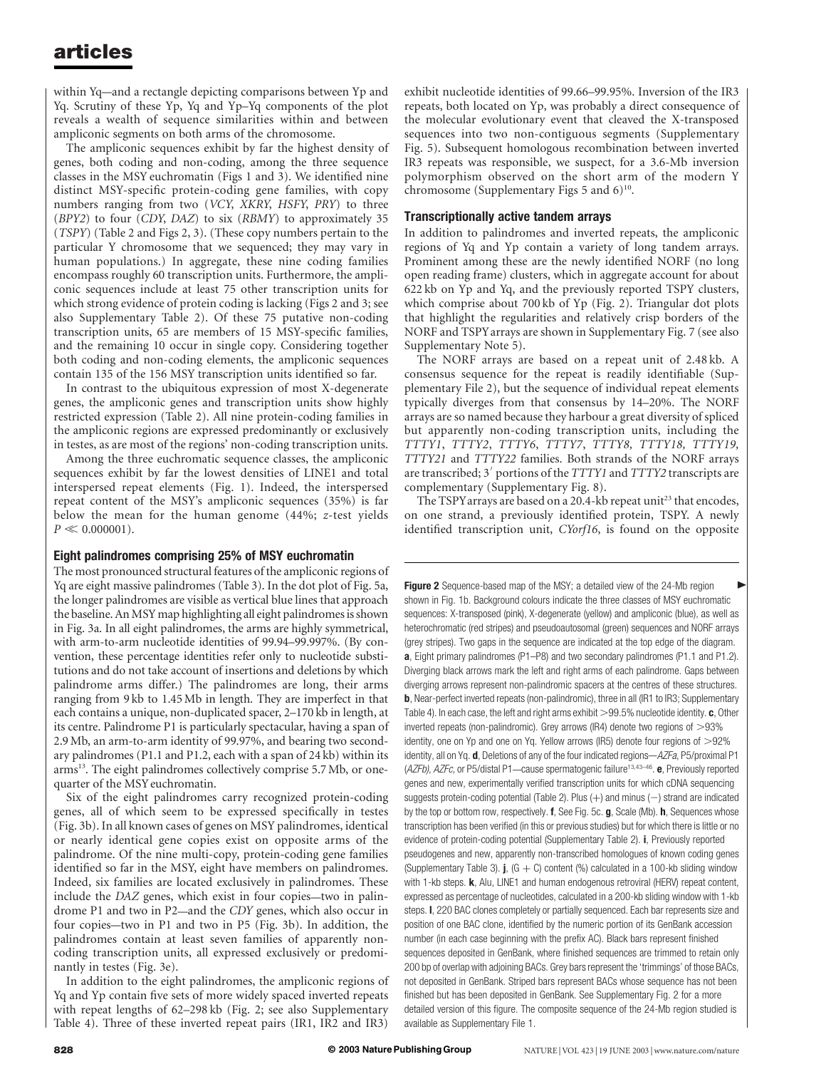within Yq—and a rectangle depicting comparisons between Yp and Yq. Scrutiny of these Yp, Yq and Yp–Yq components of the plot reveals a wealth of sequence similarities within and between ampliconic segments on both arms of the chromosome.

The ampliconic sequences exhibit by far the highest density of genes, both coding and non-coding, among the three sequence classes in the MSY euchromatin (Figs 1 and 3). We identified nine distinct MSY-specific protein-coding gene families, with copy numbers ranging from two (VCY, XKRY, HSFY, PRY) to three (BPY2) to four (CDY, DAZ) to six (RBMY) to approximately 35 (TSPY) (Table 2 and Figs 2, 3). (These copy numbers pertain to the particular Y chromosome that we sequenced; they may vary in human populations.) In aggregate, these nine coding families encompass roughly 60 transcription units. Furthermore, the ampliconic sequences include at least 75 other transcription units for which strong evidence of protein coding is lacking (Figs 2 and 3; see also Supplementary Table 2). Of these 75 putative non-coding transcription units, 65 are members of 15 MSY-specific families, and the remaining 10 occur in single copy. Considering together both coding and non-coding elements, the ampliconic sequences contain 135 of the 156 MSY transcription units identified so far.

In contrast to the ubiquitous expression of most X-degenerate genes, the ampliconic genes and transcription units show highly restricted expression (Table 2). All nine protein-coding families in the ampliconic regions are expressed predominantly or exclusively in testes, as are most of the regions' non-coding transcription units.

Among the three euchromatic sequence classes, the ampliconic sequences exhibit by far the lowest densities of LINE1 and total interspersed repeat elements (Fig. 1). Indeed, the interspersed repeat content of the MSY's ampliconic sequences (35%) is far below the mean for the human genome (44%; z-test yields  $P \ll 0.000001$ .

### Eight palindromes comprising 25% of MSY euchromatin

The most pronounced structural features of the ampliconic regions of Yq are eight massive palindromes (Table 3). In the dot plot of Fig. 5a, the longer palindromes are visible as vertical blue lines that approach the baseline. An MSY map highlighting all eight palindromes is shown in Fig. 3a. In all eight palindromes, the arms are highly symmetrical, with arm-to-arm nucleotide identities of 99.94–99.997%. (By convention, these percentage identities refer only to nucleotide substitutions and do not take account of insertions and deletions by which palindrome arms differ.) The palindromes are long, their arms ranging from 9 kb to 1.45 Mb in length. They are imperfect in that each contains a unique, non-duplicated spacer, 2–170 kb in length, at its centre. Palindrome P1 is particularly spectacular, having a span of 2.9 Mb, an arm-to-arm identity of 99.97%, and bearing two secondary palindromes (P1.1 and P1.2, each with a span of 24 kb) within its arms<sup>13</sup>. The eight palindromes collectively comprise 5.7 Mb, or onequarter of the MSY euchromatin.

Six of the eight palindromes carry recognized protein-coding genes, all of which seem to be expressed specifically in testes (Fig. 3b). In all known cases of genes on MSY palindromes, identical or nearly identical gene copies exist on opposite arms of the palindrome. Of the nine multi-copy, protein-coding gene families identified so far in the MSY, eight have members on palindromes. Indeed, six families are located exclusively in palindromes. These include the DAZ genes, which exist in four copies—two in palindrome P1 and two in P2—and the CDY genes, which also occur in four copies—two in P1 and two in P5 (Fig. 3b). In addition, the palindromes contain at least seven families of apparently noncoding transcription units, all expressed exclusively or predominantly in testes (Fig. 3e).

In addition to the eight palindromes, the ampliconic regions of Yq and Yp contain five sets of more widely spaced inverted repeats with repeat lengths of 62–298 kb (Fig. 2; see also Supplementary Table 4). Three of these inverted repeat pairs (IR1, IR2 and IR3)

exhibit nucleotide identities of 99.66–99.95%. Inversion of the IR3 repeats, both located on Yp, was probably a direct consequence of the molecular evolutionary event that cleaved the X-transposed sequences into two non-contiguous segments (Supplementary Fig. 5). Subsequent homologous recombination between inverted IR3 repeats was responsible, we suspect, for a 3.6-Mb inversion polymorphism observed on the short arm of the modern Y chromosome (Supplementary Figs 5 and  $6)^{10}$ .

### Transcriptionally active tandem arrays

In addition to palindromes and inverted repeats, the ampliconic regions of Yq and Yp contain a variety of long tandem arrays. Prominent among these are the newly identified NORF (no long open reading frame) clusters, which in aggregate account for about 622 kb on Yp and Yq, and the previously reported TSPY clusters, which comprise about 700 kb of Yp (Fig. 2). Triangular dot plots that highlight the regularities and relatively crisp borders of the NORF and TSPYarrays are shown in Supplementary Fig. 7 (see also Supplementary Note 5).

The NORF arrays are based on a repeat unit of 2.48 kb. A consensus sequence for the repeat is readily identifiable (Supplementary File 2), but the sequence of individual repeat elements typically diverges from that consensus by 14–20%. The NORF arrays are so named because they harbour a great diversity of spliced but apparently non-coding transcription units, including the TTTY1, TTTY2, TTTY6, TTTY7, TTTY8, TTTY18, TTTY19, TTTY21 and TTTY22 families. Both strands of the NORF arrays are transcribed; 3' portions of the TTTY1 and TTTY2 transcripts are complementary (Supplementary Fig. 8).

The TSPY arrays are based on a 20.4-kb repeat unit<sup>23</sup> that encodes, on one strand, a previously identified protein, TSPY. A newly identified transcription unit, CYorf16, is found on the opposite

Figure 2 Sequence-based map of the MSY; a detailed view of the 24-Mb region shown in Fig. 1b. Background colours indicate the three classes of MSY euchromatic sequences: X-transposed (pink), X-degenerate (yellow) and ampliconic (blue), as well as heterochromatic (red stripes) and pseudoautosomal (green) sequences and NORF arrays (grey stripes). Two gaps in the sequence are indicated at the top edge of the diagram. a, Eight primary palindromes (P1–P8) and two secondary palindromes (P1.1 and P1.2). Diverging black arrows mark the left and right arms of each palindrome. Gaps between diverging arrows represent non-palindromic spacers at the centres of these structures. **b**, Near-perfect inverted repeats (non-palindromic), three in all (IR1 to IR3; Supplementary Table 4). In each case, the left and right arms exhibit  $>$ 99.5% nucleotide identity. c, Other inverted repeats (non-palindromic). Grey arrows (IR4) denote two regions of  $>93\%$ identity, one on Yp and one on Yq. Yellow arrows (IR5) denote four regions of  $>92\%$ identity, all on Yq. d, Deletions of any of the four indicated regions- $AZFa$ , P5/proximal P1 (AZFb), AZFc, or P5/distal P1—cause spermatogenic failure<sup>13,43–46</sup>. **e**, Previously reported genes and new, experimentally verified transcription units for which cDNA sequencing suggests protein-coding potential (Table 2). Plus  $(+)$  and minus  $(-)$  strand are indicated by the top or bottom row, respectively. f, See Fig. 5c. g, Scale (Mb). h, Sequences whose transcription has been verified (in this or previous studies) but for which there is little or no evidence of protein-coding potential (Supplementary Table 2). i, Previously reported pseudogenes and new, apparently non-transcribed homologues of known coding genes (Supplementary Table 3). j,  $(G + C)$  content (%) calculated in a 100-kb sliding window with 1-kb steps. k, Alu, LINE1 and human endogenous retroviral (HERV) repeat content, expressed as percentage of nucleotides, calculated in a 200-kb sliding window with 1-kb steps. l, 220 BAC clones completely or partially sequenced. Each bar represents size and position of one BAC clone, identified by the numeric portion of its GenBank accession number (in each case beginning with the prefix AC). Black bars represent finished sequences deposited in GenBank, where finished sequences are trimmed to retain only 200 bp of overlap with adjoining BACs. Grey bars represent the 'trimmings' of those BACs, not deposited in GenBank. Striped bars represent BACs whose sequence has not been finished but has been deposited in GenBank. See Supplementary Fig. 2 for a more detailed version of this figure. The composite sequence of the 24-Mb region studied is available as Supplementary File 1.  $\blacktriangleright$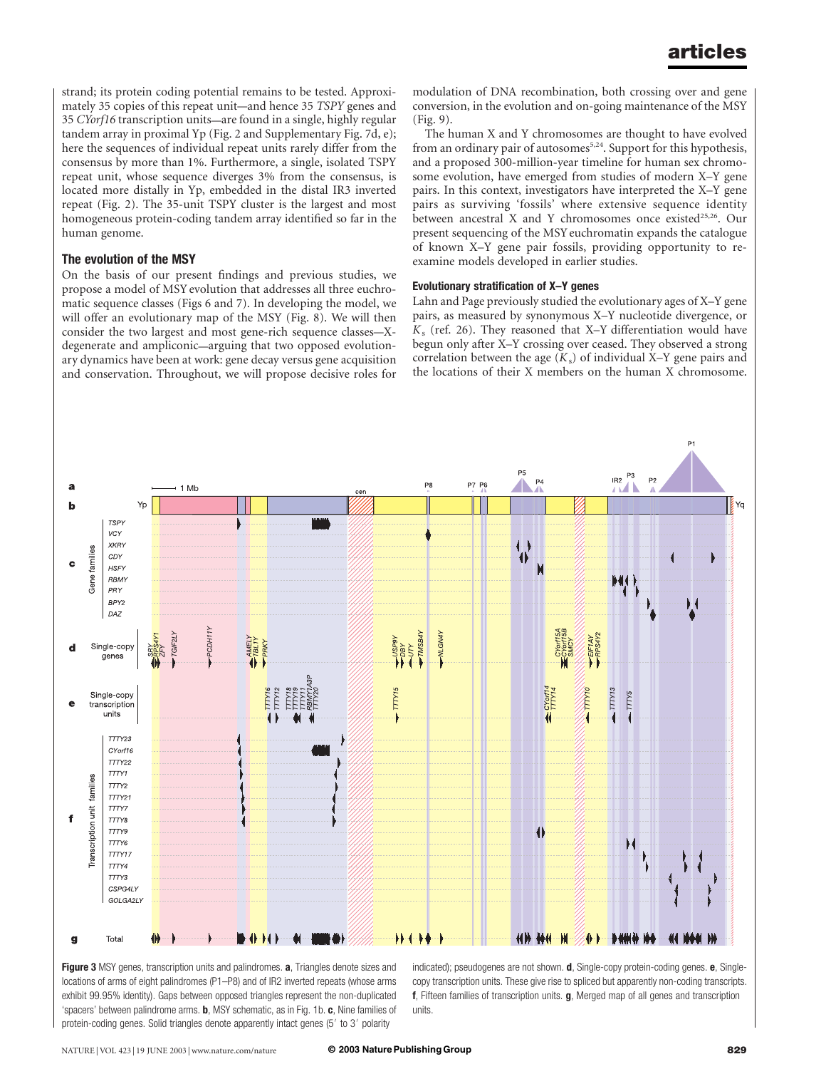strand; its protein coding potential remains to be tested. Approximately 35 copies of this repeat unit—and hence 35 TSPY genes and 35 CYorf16 transcription units—are found in a single, highly regular tandem array in proximal Yp (Fig. 2 and Supplementary Fig. 7d, e); here the sequences of individual repeat units rarely differ from the consensus by more than 1%. Furthermore, a single, isolated TSPY repeat unit, whose sequence diverges 3% from the consensus, is located more distally in Yp, embedded in the distal IR3 inverted repeat (Fig. 2). The 35-unit TSPY cluster is the largest and most homogeneous protein-coding tandem array identified so far in the human genome.

### The evolution of the MSY

On the basis of our present findings and previous studies, we propose a model of MSY evolution that addresses all three euchromatic sequence classes (Figs 6 and 7). In developing the model, we will offer an evolutionary map of the MSY (Fig. 8). We will then consider the two largest and most gene-rich sequence classes—Xdegenerate and ampliconic—arguing that two opposed evolutionary dynamics have been at work: gene decay versus gene acquisition and conservation. Throughout, we will propose decisive roles for

modulation of DNA recombination, both crossing over and gene conversion, in the evolution and on-going maintenance of the MSY (Fig. 9).

The human X and Y chromosomes are thought to have evolved from an ordinary pair of autosomes<sup>5,24</sup>. Support for this hypothesis, and a proposed 300-million-year timeline for human sex chromosome evolution, have emerged from studies of modern X–Y gene pairs. In this context, investigators have interpreted the X–Y gene pairs as surviving 'fossils' where extensive sequence identity between ancestral X and Y chromosomes once existed<sup>25,26</sup>. Our present sequencing of the MSY euchromatin expands the catalogue of known X–Y gene pair fossils, providing opportunity to reexamine models developed in earlier studies.

### Evolutionary stratification of X–Y genes

Lahn and Page previously studied the evolutionary ages of X–Y gene pairs, as measured by synonymous X–Y nucleotide divergence, or  $K<sub>s</sub>$  (ref. 26). They reasoned that X–Y differentiation would have begun only after X–Y crossing over ceased. They observed a strong correlation between the age  $(K_s)$  of individual X–Y gene pairs and the locations of their X members on the human X chromosome.



Figure 3 MSY genes, transcription units and palindromes. a, Triangles denote sizes and locations of arms of eight palindromes (P1–P8) and of IR2 inverted repeats (whose arms exhibit 99.95% identity). Gaps between opposed triangles represent the non-duplicated 'spacers' between palindrome arms. **b**, MSY schematic, as in Fig. 1b. c, Nine families of protein-coding genes. Solid triangles denote apparently intact genes ( $5'$  to  $3'$  polarity

indicated); pseudogenes are not shown. **d**, Single-copy protein-coding genes. **e**, Singlecopy transcription units. These give rise to spliced but apparently non-coding transcripts. f, Fifteen families of transcription units. g, Merged map of all genes and transcription units.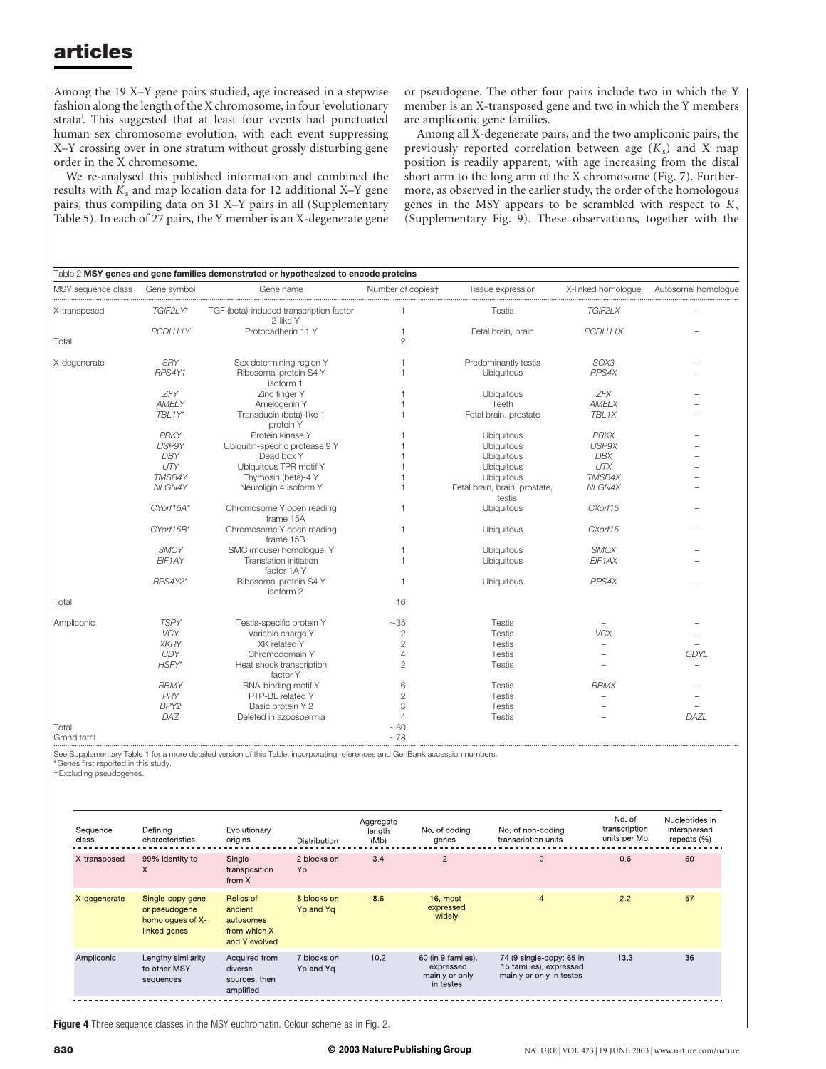Among the 19 X–Y gene pairs studied, age increased in a stepwise fashion along the length of the X chromosome, in four 'evolutionary strata'. This suggested that at least four events had punctuated human sex chromosome evolution, with each event suppressing X–Y crossing over in one stratum without grossly disturbing gene order in the X chromosome.

We re-analysed this published information and combined the results with  $K_s$  and map location data for 12 additional X–Y gene pairs, thus compiling data on 31 X–Y pairs in all (Supplementary Table 5). In each of 27 pairs, the Y member is an X-degenerate gene

or pseudogene. The other four pairs include two in which the Y member is an X-transposed gene and two in which the Y members are ampliconic gene families.

Among all X-degenerate pairs, and the two ampliconic pairs, the previously reported correlation between age  $(K_s)$  and X map position is readily apparent, with age increasing from the distal short arm to the long arm of the X chromosome (Fig. 7). Furthermore, as observed in the earlier study, the order of the homologous genes in the MSY appears to be scrambled with respect to  $K_s$ (Supplementary Fig. 9). These observations, together with the

### Table 2 MSY genes and gene families demonstrated or hypothesized to encode proteins

| MSY sequence class | Gene symbol                                                     | Gene name                              | Number of copiest | Tissue expression                       | X-linked homologue | Autosomal homologue |
|--------------------|-----------------------------------------------------------------|----------------------------------------|-------------------|-----------------------------------------|--------------------|---------------------|
| X-transposed       | TGIF2LY*<br>TGF (beta)-induced transcription factor<br>2-like Y |                                        |                   | <b>Testis</b>                           | TGIF2LX            |                     |
|                    | PCDH11Y                                                         | Protocadherin 11 Y                     | 1                 | Fetal brain, brain                      | PCDH11X            |                     |
| Total              |                                                                 |                                        | $\overline{2}$    |                                         |                    |                     |
| X-degenerate       | <b>SRY</b>                                                      | Sex determining region Y               | 1                 | Predominantly testis                    | SOX3               |                     |
|                    | RPS4Y1                                                          | Ribosomal protein S4 Y<br>isoform 1    | $\mathbf{1}$      | Ubiquitous                              | RPS4X              |                     |
|                    | ZFY                                                             | Zinc finger Y                          |                   | Ubiquitous                              | <b>ZFX</b>         |                     |
|                    | AMELY                                                           | Amelogenin Y                           |                   | Teeth                                   | <b>AMELX</b>       |                     |
|                    | TBL1Y*                                                          | Transducin (beta)-like 1<br>protein Y  |                   | Fetal brain, prostate                   | TBL1X              |                     |
|                    | PRKY                                                            | Protein kinase Y                       |                   | Ubiquitous                              | <b>PRKX</b>        |                     |
|                    | USP9Y                                                           | Ubiquitin-specific protease 9 Y        |                   | Ubiquitous                              | USP9X              |                     |
|                    | DBY                                                             | Dead box Y                             |                   | Ubiquitous                              | DBX                |                     |
|                    | UTY                                                             | Ubiquitous TPR motif Y                 |                   | Ubiquitous                              | UTX                |                     |
|                    | TMSB4Y                                                          | Thymosin (beta)-4 Y                    |                   | Ubiquitous                              | TMSB4X             |                     |
|                    | NLGN4Y                                                          | Neuroligin 4 isoform Y                 | 1                 | Fetal brain, brain, prostate,<br>testis | NLGN4X             |                     |
|                    | CYorf15A*                                                       | Chromosome Y open reading<br>frame 15A | 1                 | Ubiquitous                              | CXorf15            |                     |
|                    | CYorf15B*                                                       | Chromosome Y open reading<br>frame 15B | 1                 | Ubiquitous                              | CXorf15            |                     |
|                    | <b>SMCY</b>                                                     | SMC (mouse) homologue, Y               | 1                 | Ubiquitous                              | <b>SMCX</b>        |                     |
|                    | EIF1AY                                                          | Translation initiation<br>factor 1AY   | $\mathbf{1}$      | Ubiquitous                              | EIF1AX             |                     |
|                    | RPS4Y2*                                                         | Ribosomal protein S4 Y<br>isoform 2    | 1                 | Ubiquitous                              | RPS4X              |                     |
| Total              |                                                                 |                                        | 16                |                                         |                    |                     |
| Ampliconic         | <b>TSPY</b>                                                     | Testis-specific protein Y              | ~1.35             | <b>Testis</b>                           |                    |                     |
|                    | <b>VCY</b>                                                      | Variable charge Y                      | $\overline{c}$    | <b>Testis</b>                           | <b>VCX</b>         |                     |
|                    | <b>XKRY</b>                                                     | XK related Y                           | $\overline{c}$    | <b>Testis</b>                           |                    |                     |
|                    | CDY                                                             | Chromodomain Y                         | 4                 | <b>Testis</b>                           |                    | CDYL                |
|                    | HSFY*                                                           | Heat shock transcription<br>factor Y   | $\overline{c}$    | <b>Testis</b>                           |                    |                     |
|                    | <b>RBMY</b>                                                     | RNA-binding motif Y                    | 6                 | <b>Testis</b>                           | <b>RBMX</b>        |                     |
|                    | PRY                                                             | PTP-BL related Y                       | $\overline{c}$    | <b>Testis</b>                           |                    |                     |
|                    | BPY2                                                            | Basic protein Y 2                      | 3                 | <b>Testis</b>                           |                    |                     |
|                    | DAZ                                                             | Deleted in azoospermia                 | $\overline{4}$    | <b>Testis</b>                           |                    | DAZL                |
| Total              |                                                                 |                                        | ~50               |                                         |                    |                     |
| Grand total        |                                                                 |                                        | ~1                |                                         |                    |                     |

See Supplementary Table 1 for a more detailed version of this Table, incorporating references and GenBank accession numbers.

\*Genes first reported in this study.

†Excluding pseudogenes.

| Sequence<br>class | Defining<br>characteristics                                           | Evolutionary<br>origins                                            | <b>Distribution</b>      | Aggregate<br>length<br>(Mb) | No. of coding<br>genes                                         | No. of non-coding<br>transcription units                                        | No of<br>transcription<br>units per Mb | Nucleotides in<br>interspersed<br>repeats (%) |
|-------------------|-----------------------------------------------------------------------|--------------------------------------------------------------------|--------------------------|-----------------------------|----------------------------------------------------------------|---------------------------------------------------------------------------------|----------------------------------------|-----------------------------------------------|
| X-transposed      | 99% identity to<br>X                                                  | Single<br>transposition<br>from X                                  | 2 blocks on<br>Yp        | 3.4                         | $\overline{2}$                                                 | $\overline{0}$                                                                  | 0.6                                    | 60                                            |
| X-degenerate      | Single-copy gene<br>or pseudogene<br>homologues of X-<br>linked genes | Relics of<br>ancient<br>autosomes<br>from which X<br>and Y evolved | 8 blocks on<br>Yp and Yq | 86                          | 16, most<br>expressed<br>widely                                | $\overline{4}$                                                                  | 2.2                                    | 57                                            |
| Ampliconic        | Lengthy similarity<br>to other MSY<br>sequences                       | Acquired from<br>diverse<br>sources, then<br>amplified             | 7 blocks on<br>Yp and Yq | 10.2                        | 60 (in 9 familes).<br>expressed<br>mainly or only<br>in testes | 74 (9 single-copy; 65 in<br>15 families), expressed<br>mainly or only in testes | 13.3                                   | 36                                            |

Figure 4 Three sequence classes in the MSY euchromatin. Colour scheme as in Fig. 2.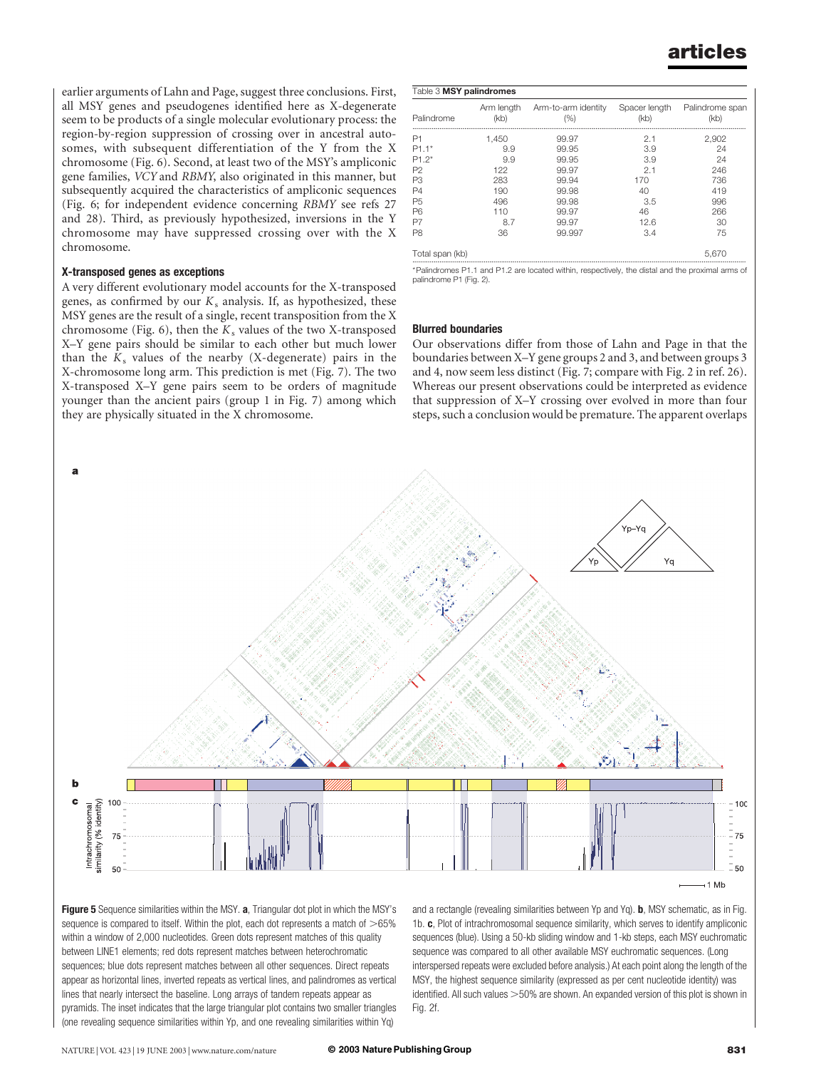earlier arguments of Lahn and Page, suggest three conclusions. First, all MSY genes and pseudogenes identified here as X-degenerate seem to be products of a single molecular evolutionary process: the region-by-region suppression of crossing over in ancestral autosomes, with subsequent differentiation of the Y from the X chromosome (Fig. 6). Second, at least two of the MSY's ampliconic gene families, VCY and RBMY, also originated in this manner, but subsequently acquired the characteristics of ampliconic sequences (Fig. 6; for independent evidence concerning RBMY see refs 27 and 28). Third, as previously hypothesized, inversions in the Y chromosome may have suppressed crossing over with the X chromosome.

### X-transposed genes as exceptions

A very different evolutionary model accounts for the X-transposed genes, as confirmed by our  $K_s$  analysis. If, as hypothesized, these MSY genes are the result of a single, recent transposition from the X chromosome (Fig. 6), then the  $K_s$  values of the two X-transposed X–Y gene pairs should be similar to each other but much lower than the  $K_s$  values of the nearby (X-degenerate) pairs in the X-chromosome long arm. This prediction is met (Fig. 7). The two X-transposed X–Y gene pairs seem to be orders of magnitude younger than the ancient pairs (group 1 in Fig. 7) among which they are physically situated in the X chromosome.

| Palindrome         | Arm length<br>(kb) | Arm-to-arm identity<br>(%) | Spacer length<br>(kb) | Palindrome span<br>(kb) |
|--------------------|--------------------|----------------------------|-----------------------|-------------------------|
| P <sub>1</sub>     | 1.450              | 99.97                      | 2.1                   | 2.902                   |
| $P1.1*$            | 9.9                | 99.95                      | 3.9                   | 24                      |
| P <sub>1.2</sub> * | 9.9                | 99.95                      | 3.9                   | 24                      |
| P2                 | 122                | 99.97                      | 2.1                   | 246                     |
| PЗ                 | 283                | 99.94                      | 170                   | 736                     |
| P4                 | 190                | 99.98                      | 40                    | 419                     |
| Р5                 | 496                | 99.98                      | 3.5                   | 996                     |
| P6                 | 110                | 99.97                      | 46                    | 266                     |
| P7                 | 8.7                | 99.97                      | 12.6                  | 30                      |
| P8                 | 36                 | 99.997                     | 3.4                   | 75                      |
| Total span (kb)    |                    |                            |                       | 5.670                   |

\*Palindromes P1.1 and P1.2 are located within, respectively, the distal and the proximal arms of palindrome P1 (Fig. 2).

### Blurred boundaries

Our observations differ from those of Lahn and Page in that the boundaries between X–Y gene groups 2 and 3, and between groups 3 and 4, now seem less distinct (Fig. 7; compare with Fig. 2 in ref. 26). Whereas our present observations could be interpreted as evidence that suppression of X–Y crossing over evolved in more than four steps, such a conclusion would be premature. The apparent overlaps



Figure 5 Sequence similarities within the MSY. a, Triangular dot plot in which the MSY's sequence is compared to itself. Within the plot, each dot represents a match of  $>65\%$ within a window of 2,000 nucleotides. Green dots represent matches of this quality between LINE1 elements; red dots represent matches between heterochromatic sequences; blue dots represent matches between all other sequences. Direct repeats appear as horizontal lines, inverted repeats as vertical lines, and palindromes as vertical lines that nearly intersect the baseline. Long arrays of tandem repeats appear as pyramids. The inset indicates that the large triangular plot contains two smaller triangles (one revealing sequence similarities within Yp, and one revealing similarities within Yq)

and a rectangle (revealing similarities between Yp and Yg). **b**, MSY schematic, as in Fig. 1b. c, Plot of intrachromosomal sequence similarity, which serves to identify ampliconic sequences (blue). Using a 50-kb sliding window and 1-kb steps, each MSY euchromatic sequence was compared to all other available MSY euchromatic sequences. (Long interspersed repeats were excluded before analysis.) At each point along the length of the MSY, the highest sequence similarity (expressed as per cent nucleotide identity) was identified. All such values  $>50\%$  are shown. An expanded version of this plot is shown in Fig. 2f.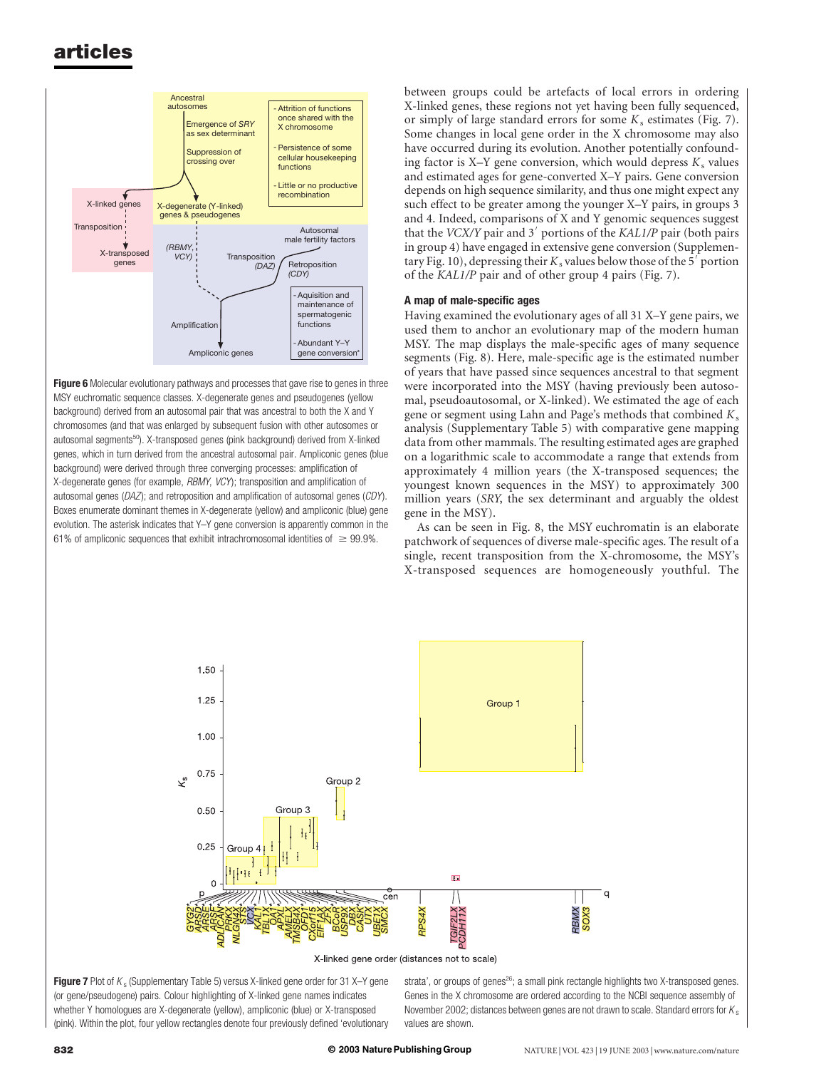

Figure 6 Molecular evolutionary pathways and processes that gave rise to genes in three MSY euchromatic sequence classes. X-degenerate genes and pseudogenes (yellow background) derived from an autosomal pair that was ancestral to both the X and Y chromosomes (and that was enlarged by subsequent fusion with other autosomes or autosomal segments<sup>50</sup>). X-transposed genes (pink background) derived from X-linked genes, which in turn derived from the ancestral autosomal pair. Ampliconic genes (blue background) were derived through three converging processes: amplification of X-degenerate genes (for example, RBMY, VCY); transposition and amplification of autosomal genes  $(DAZ)$ ; and retroposition and amplification of autosomal genes  $(CDY)$ . Boxes enumerate dominant themes in X-degenerate (yellow) and ampliconic (blue) gene evolution. The asterisk indicates that Y–Y gene conversion is apparently common in the 61% of ampliconic sequences that exhibit intrachromosomal identities of  $\geq$  99.9%.

between groups could be artefacts of local errors in ordering X-linked genes, these regions not yet having been fully sequenced, or simply of large standard errors for some  $K_s$  estimates (Fig. 7). Some changes in local gene order in the X chromosome may also have occurred during its evolution. Another potentially confounding factor is X–Y gene conversion, which would depress  $K_s$  values and estimated ages for gene-converted X–Y pairs. Gene conversion depends on high sequence similarity, and thus one might expect any such effect to be greater among the younger X–Y pairs, in groups 3 and 4. Indeed, comparisons of X and Y genomic sequences suggest that the VCX/Y pair and 3' portions of the KAL1/P pair (both pairs in group 4) have engaged in extensive gene conversion (Supplementary Fig. 10), depressing their  $K_s$  values below those of the  $5^7$  portion of the KAL1/P pair and of other group 4 pairs (Fig. 7).

#### A map of male-specific ages

Having examined the evolutionary ages of all 31 X–Y gene pairs, we used them to anchor an evolutionary map of the modern human MSY. The map displays the male-specific ages of many sequence segments (Fig. 8). Here, male-specific age is the estimated number of years that have passed since sequences ancestral to that segment were incorporated into the MSY (having previously been autosomal, pseudoautosomal, or X-linked). We estimated the age of each gene or segment using Lahn and Page's methods that combined  $K_s$ analysis (Supplementary Table 5) with comparative gene mapping data from other mammals. The resulting estimated ages are graphed on a logarithmic scale to accommodate a range that extends from approximately 4 million years (the X-transposed sequences; the youngest known sequences in the MSY) to approximately 300 million years (SRY, the sex determinant and arguably the oldest gene in the MSY).

As can be seen in Fig. 8, the MSY euchromatin is an elaborate patchwork of sequences of diverse male-specific ages. The result of a single, recent transposition from the X-chromosome, the MSY's X-transposed sequences are homogeneously youthful. The



X-linked gene order (distances not to scale)

**Figure 7** Plot of  $K_s$  (Supplementary Table 5) versus X-linked gene order for 31 X–Y gene (or gene/pseudogene) pairs. Colour highlighting of X-linked gene names indicates whether Y homologues are X-degenerate (yellow), ampliconic (blue) or X-transposed (pink). Within the plot, four yellow rectangles denote four previously defined 'evolutionary strata', or groups of genes<sup>26</sup>; a small pink rectangle highlights two X-transposed genes. Genes in the X chromosome are ordered according to the NCBI sequence assembly of November 2002; distances between genes are not drawn to scale. Standard errors for  $K_s$ values are shown.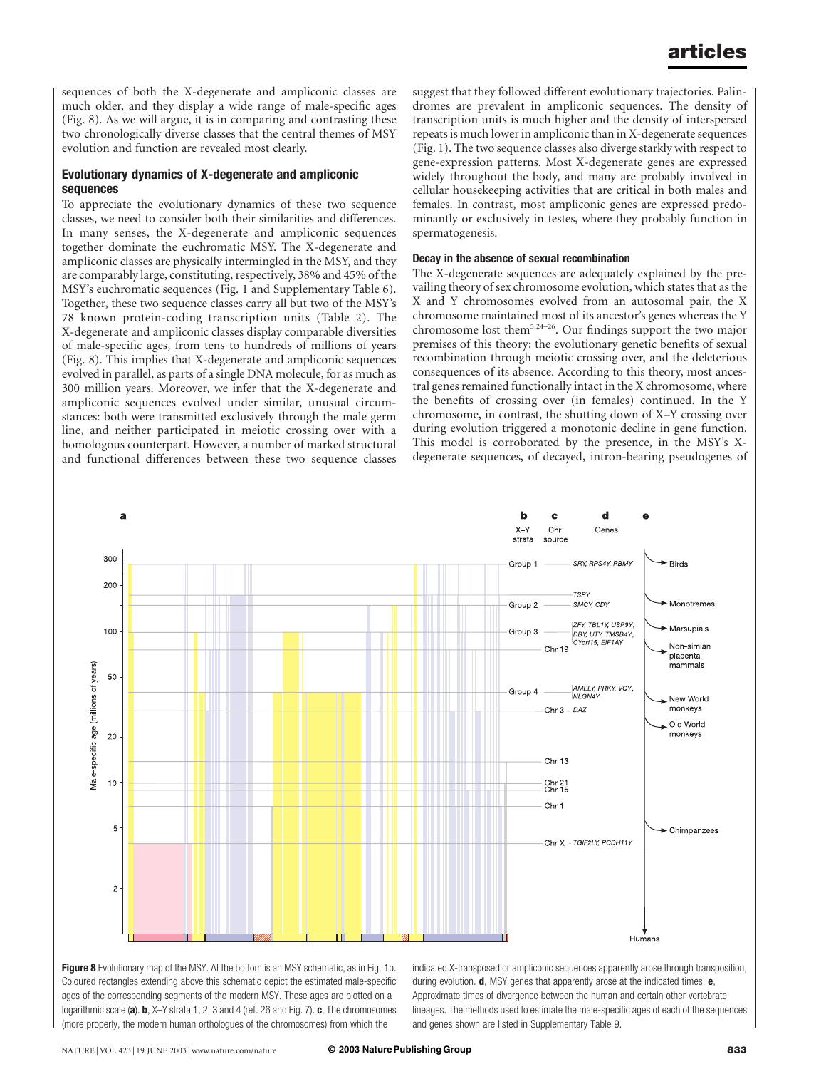sequences of both the X-degenerate and ampliconic classes are much older, and they display a wide range of male-specific ages (Fig. 8). As we will argue, it is in comparing and contrasting these two chronologically diverse classes that the central themes of MSY evolution and function are revealed most clearly.

# Evolutionary dynamics of X-degenerate and ampliconic sequences

To appreciate the evolutionary dynamics of these two sequence classes, we need to consider both their similarities and differences. In many senses, the X-degenerate and ampliconic sequences together dominate the euchromatic MSY. The X-degenerate and ampliconic classes are physically intermingled in the MSY, and they are comparably large, constituting, respectively, 38% and 45% of the MSY's euchromatic sequences (Fig. 1 and Supplementary Table 6). Together, these two sequence classes carry all but two of the MSY's 78 known protein-coding transcription units (Table 2). The X-degenerate and ampliconic classes display comparable diversities of male-specific ages, from tens to hundreds of millions of years (Fig. 8). This implies that X-degenerate and ampliconic sequences evolved in parallel, as parts of a single DNA molecule, for as much as 300 million years. Moreover, we infer that the X-degenerate and ampliconic sequences evolved under similar, unusual circumstances: both were transmitted exclusively through the male germ line, and neither participated in meiotic crossing over with a homologous counterpart. However, a number of marked structural and functional differences between these two sequence classes

suggest that they followed different evolutionary trajectories. Palindromes are prevalent in ampliconic sequences. The density of transcription units is much higher and the density of interspersed repeats is much lower in ampliconic than in X-degenerate sequences (Fig. 1). The two sequence classes also diverge starkly with respect to gene-expression patterns. Most X-degenerate genes are expressed widely throughout the body, and many are probably involved in cellular housekeeping activities that are critical in both males and females. In contrast, most ampliconic genes are expressed predominantly or exclusively in testes, where they probably function in spermatogenesis.

### Decay in the absence of sexual recombination

The X-degenerate sequences are adequately explained by the prevailing theory of sex chromosome evolution, which states that as the X and Y chromosomes evolved from an autosomal pair, the X chromosome maintained most of its ancestor's genes whereas the Y chromosome lost them5,24–26. Our findings support the two major premises of this theory: the evolutionary genetic benefits of sexual recombination through meiotic crossing over, and the deleterious consequences of its absence. According to this theory, most ancestral genes remained functionally intact in the X chromosome, where the benefits of crossing over (in females) continued. In the Y chromosome, in contrast, the shutting down of X–Y crossing over during evolution triggered a monotonic decline in gene function. This model is corroborated by the presence, in the MSY's Xdegenerate sequences, of decayed, intron-bearing pseudogenes of



**Figure 8** Evolutionary map of the MSY. At the bottom is an MSY schematic, as in Fig. 1b. Coloured rectangles extending above this schematic depict the estimated male-specific ages of the corresponding segments of the modern MSY. These ages are plotted on a logarithmic scale (a). b, X-Y strata 1, 2, 3 and 4 (ref. 26 and Fig. 7). c, The chromosomes (more properly, the modern human orthologues of the chromosomes) from which the

indicated X-transposed or ampliconic sequences apparently arose through transposition, during evolution. **d**, MSY genes that apparently arose at the indicated times. **e**, Approximate times of divergence between the human and certain other vertebrate lineages. The methods used to estimate the male-specific ages of each of the sequences and genes shown are listed in Supplementary Table 9.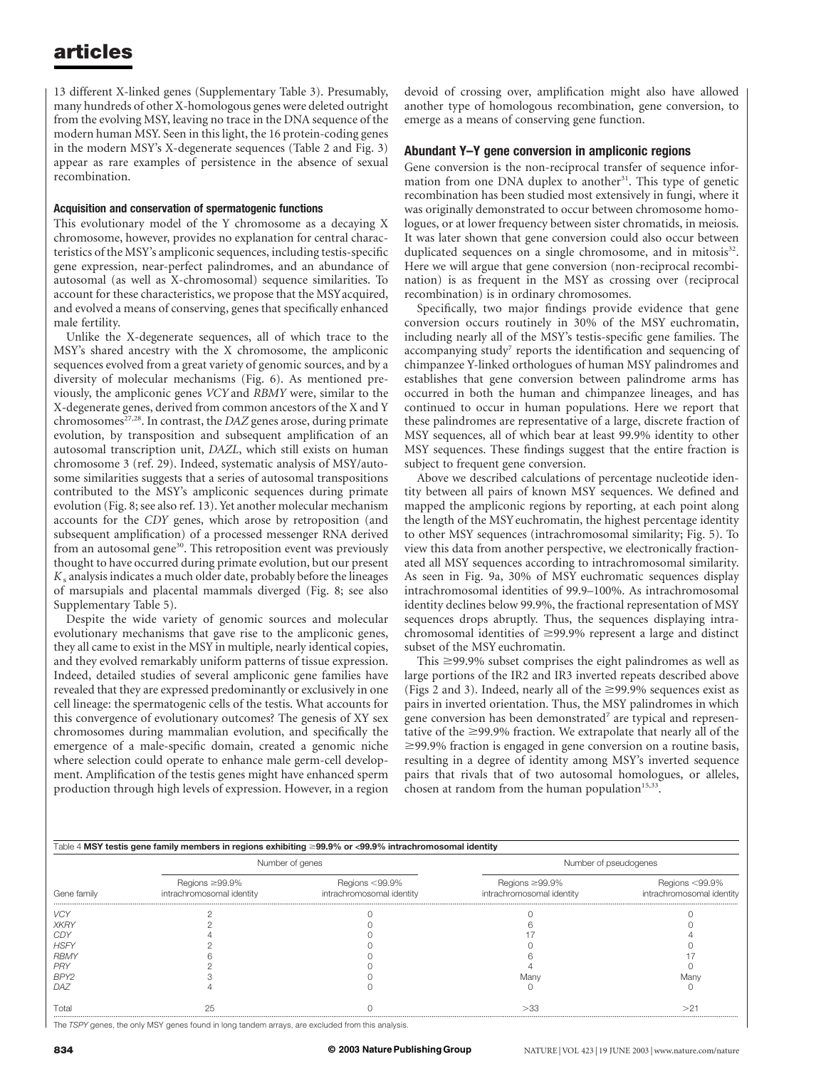13 different X-linked genes (Supplementary Table 3). Presumably, many hundreds of other X-homologous genes were deleted outright from the evolving MSY, leaving no trace in the DNA sequence of the modern human MSY. Seen in this light, the 16 protein-coding genes in the modern MSY's X-degenerate sequences (Table 2 and Fig. 3) appear as rare examples of persistence in the absence of sexual recombination.

### Acquisition and conservation of spermatogenic functions

This evolutionary model of the Y chromosome as a decaying X chromosome, however, provides no explanation for central characteristics of the MSY's ampliconic sequences, including testis-specific gene expression, near-perfect palindromes, and an abundance of autosomal (as well as X-chromosomal) sequence similarities. To account for these characteristics, we propose that the MSYacquired, and evolved a means of conserving, genes that specifically enhanced male fertility.

Unlike the X-degenerate sequences, all of which trace to the MSY's shared ancestry with the X chromosome, the ampliconic sequences evolved from a great variety of genomic sources, and by a diversity of molecular mechanisms (Fig. 6). As mentioned previously, the ampliconic genes VCY and RBMY were, similar to the X-degenerate genes, derived from common ancestors of the X and Y chromosomes<sup>27,28</sup>. In contrast, the DAZ genes arose, during primate evolution, by transposition and subsequent amplification of an autosomal transcription unit, DAZL, which still exists on human chromosome 3 (ref. 29). Indeed, systematic analysis of MSY/autosome similarities suggests that a series of autosomal transpositions contributed to the MSY's ampliconic sequences during primate evolution (Fig. 8; see also ref. 13). Yet another molecular mechanism accounts for the CDY genes, which arose by retroposition (and subsequent amplification) of a processed messenger RNA derived from an autosomal gene<sup>30</sup>. This retroposition event was previously thought to have occurred during primate evolution, but our present  $K_s$  analysis indicates a much older date, probably before the lineages of marsupials and placental mammals diverged (Fig. 8; see also Supplementary Table 5).

Despite the wide variety of genomic sources and molecular evolutionary mechanisms that gave rise to the ampliconic genes, they all came to exist in the MSY in multiple, nearly identical copies, and they evolved remarkably uniform patterns of tissue expression. Indeed, detailed studies of several ampliconic gene families have revealed that they are expressed predominantly or exclusively in one cell lineage: the spermatogenic cells of the testis. What accounts for this convergence of evolutionary outcomes? The genesis of XY sex chromosomes during mammalian evolution, and specifically the emergence of a male-specific domain, created a genomic niche where selection could operate to enhance male germ-cell development. Amplification of the testis genes might have enhanced sperm production through high levels of expression. However, in a region

devoid of crossing over, amplification might also have allowed another type of homologous recombination, gene conversion, to emerge as a means of conserving gene function.

# Abundant Y–Y gene conversion in ampliconic regions

Gene conversion is the non-reciprocal transfer of sequence information from one DNA duplex to another<sup>31</sup>. This type of genetic recombination has been studied most extensively in fungi, where it was originally demonstrated to occur between chromosome homologues, or at lower frequency between sister chromatids, in meiosis. It was later shown that gene conversion could also occur between duplicated sequences on a single chromosome, and in mitosis $32$ . Here we will argue that gene conversion (non-reciprocal recombination) is as frequent in the MSY as crossing over (reciprocal recombination) is in ordinary chromosomes.

Specifically, two major findings provide evidence that gene conversion occurs routinely in 30% of the MSY euchromatin, including nearly all of the MSY's testis-specific gene families. The accompanying study<sup>7</sup> reports the identification and sequencing of chimpanzee Y-linked orthologues of human MSY palindromes and establishes that gene conversion between palindrome arms has occurred in both the human and chimpanzee lineages, and has continued to occur in human populations. Here we report that these palindromes are representative of a large, discrete fraction of MSY sequences, all of which bear at least 99.9% identity to other MSY sequences. These findings suggest that the entire fraction is subject to frequent gene conversion.

Above we described calculations of percentage nucleotide identity between all pairs of known MSY sequences. We defined and mapped the ampliconic regions by reporting, at each point along the length of the MSY euchromatin, the highest percentage identity to other MSY sequences (intrachromosomal similarity; Fig. 5). To view this data from another perspective, we electronically fractionated all MSY sequences according to intrachromosomal similarity. As seen in Fig. 9a, 30% of MSY euchromatic sequences display intrachromosomal identities of 99.9–100%. As intrachromosomal identity declines below 99.9%, the fractional representation of MSY sequences drops abruptly. Thus, the sequences displaying intrachromosomal identities of  $\geq$ 99.9% represent a large and distinct subset of the MSY euchromatin.

This  $\geq$ 99.9% subset comprises the eight palindromes as well as large portions of the IR2 and IR3 inverted repeats described above (Figs 2 and 3). Indeed, nearly all of the  $\geq$ 99.9% sequences exist as pairs in inverted orientation. Thus, the MSY palindromes in which gene conversion has been demonstrated<sup>7</sup> are typical and representative of the  $\geq$ 99.9% fraction. We extrapolate that nearly all of the  $\geq$ 99.9% fraction is engaged in gene conversion on a routine basis, resulting in a degree of identity among MSY's inverted sequence pairs that rivals that of two autosomal homologues, or alleles, chosen at random from the human population $15,33$ .

| Table 4 <b>MSY testis gene family members in regions exhibiting ≥99.9% or &lt;99.9% intrachromosomal identity</b> |                                             |                                             |                                             |                                             |  |  |  |
|-------------------------------------------------------------------------------------------------------------------|---------------------------------------------|---------------------------------------------|---------------------------------------------|---------------------------------------------|--|--|--|
|                                                                                                                   |                                             | Number of genes                             | Number of pseudogenes                       |                                             |  |  |  |
| Gene family                                                                                                       | Regions ≥99.9%<br>intrachromosomal identity | Regions <99.9%<br>intrachromosomal identity | Regions ≥99.9%<br>intrachromosomal identity | Regions <99.9%<br>intrachromosomal identity |  |  |  |
| <b>VCY</b>                                                                                                        |                                             |                                             |                                             |                                             |  |  |  |
| <b>XKRY</b>                                                                                                       |                                             |                                             |                                             |                                             |  |  |  |
| CDY                                                                                                               |                                             |                                             |                                             |                                             |  |  |  |
| <b>HSFY</b>                                                                                                       |                                             |                                             |                                             |                                             |  |  |  |
| <b>RBMY</b>                                                                                                       |                                             |                                             |                                             |                                             |  |  |  |
| <b>PRY</b>                                                                                                        |                                             |                                             |                                             |                                             |  |  |  |
| BPY2                                                                                                              |                                             |                                             | Many                                        | Many                                        |  |  |  |
| DAZ                                                                                                               |                                             |                                             |                                             |                                             |  |  |  |
| Total                                                                                                             | つら                                          |                                             | >33                                         |                                             |  |  |  |

The TSPY genes, the only MSY genes found in long tandem arrays, are excluded from this analysis.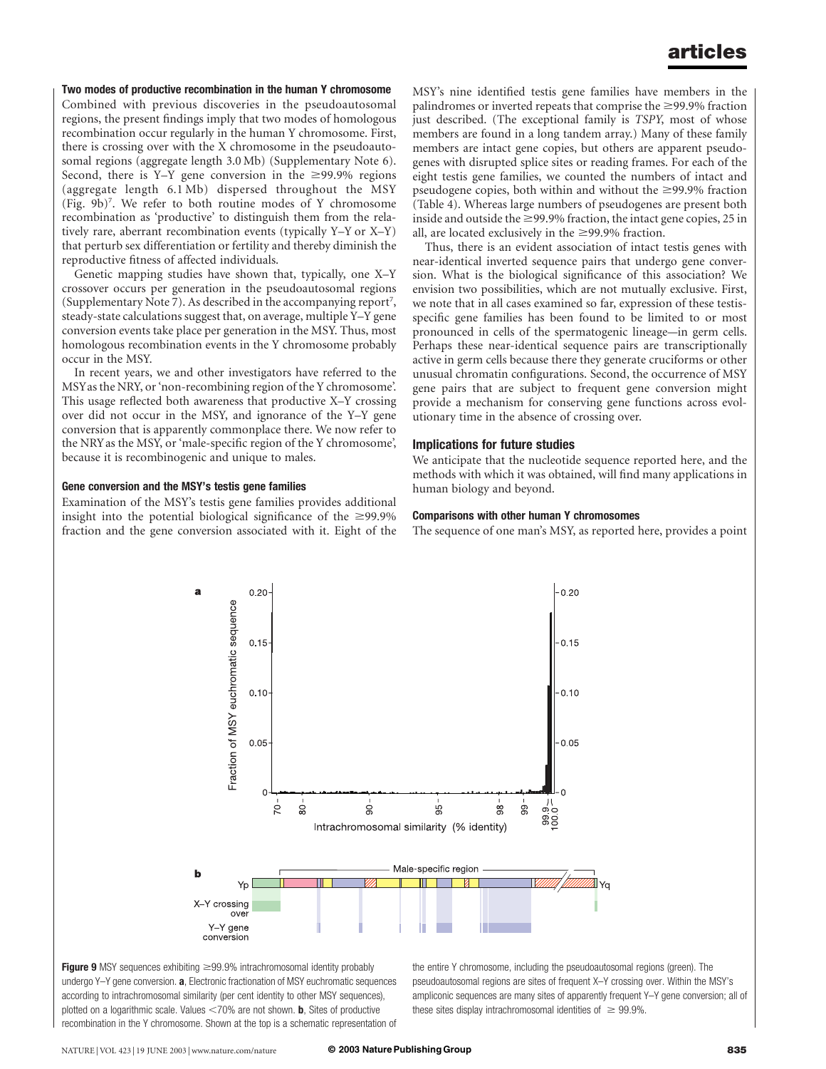Two modes of productive recombination in the human Y chromosome Combined with previous discoveries in the pseudoautosomal regions, the present findings imply that two modes of homologous recombination occur regularly in the human Y chromosome. First, there is crossing over with the X chromosome in the pseudoautosomal regions (aggregate length 3.0 Mb) (Supplementary Note 6). Second, there is Y–Y gene conversion in the  $\geq$ 99.9% regions (aggregate length 6.1 Mb) dispersed throughout the MSY (Fig. 9b)7 . We refer to both routine modes of Y chromosome recombination as 'productive' to distinguish them from the relatively rare, aberrant recombination events (typically Y–Y or X–Y) that perturb sex differentiation or fertility and thereby diminish the reproductive fitness of affected individuals.

Genetic mapping studies have shown that, typically, one X–Y crossover occurs per generation in the pseudoautosomal regions (Supplementary Note 7). As described in the accompanying report<sup>7</sup>, steady-state calculations suggest that, on average, multiple Y–Y gene conversion events take place per generation in the MSY. Thus, most homologous recombination events in the Y chromosome probably occur in the MSY.

In recent years, we and other investigators have referred to the MSYas the NRY, or 'non-recombining region of the Y chromosome'. This usage reflected both awareness that productive X–Y crossing over did not occur in the MSY, and ignorance of the Y–Y gene conversion that is apparently commonplace there. We now refer to the NRYas the MSY, or 'male-specific region of the Y chromosome', because it is recombinogenic and unique to males.

### Gene conversion and the MSY's testis gene families

Examination of the MSY's testis gene families provides additional insight into the potential biological significance of the  $\geq 99.9\%$ fraction and the gene conversion associated with it. Eight of the

Fraction of MSY euchromatic sequence

 $0.20$ 

 $0.15$ 

 $0.10$ 

0.05

ż  $\dot{8}$ 

MSY's nine identified testis gene families have members in the palindromes or inverted repeats that comprise the  $\geq$ 99.9% fraction just described. (The exceptional family is TSPY, most of whose members are found in a long tandem array.) Many of these family members are intact gene copies, but others are apparent pseudogenes with disrupted splice sites or reading frames. For each of the eight testis gene families, we counted the numbers of intact and pseudogene copies, both within and without the  $\geq$ 99.9% fraction (Table 4). Whereas large numbers of pseudogenes are present both inside and outside the  $\geq$ 99.9% fraction, the intact gene copies, 25 in all, are located exclusively in the  $\geq$ 99.9% fraction.

Thus, there is an evident association of intact testis genes with near-identical inverted sequence pairs that undergo gene conversion. What is the biological significance of this association? We envision two possibilities, which are not mutually exclusive. First, we note that in all cases examined so far, expression of these testisspecific gene families has been found to be limited to or most pronounced in cells of the spermatogenic lineage—in germ cells. Perhaps these near-identical sequence pairs are transcriptionally active in germ cells because there they generate cruciforms or other unusual chromatin configurations. Second, the occurrence of MSY gene pairs that are subject to frequent gene conversion might provide a mechanism for conserving gene functions across evolutionary time in the absence of crossing over.

### Implications for future studies

We anticipate that the nucleotide sequence reported here, and the methods with which it was obtained, will find many applications in human biology and beyond.

### Comparisons with other human Y chromosomes

The sequence of one man's MSY, as reported here, provides a point

 $0.20$ 

 $0.15$ 

 $-0.10$ 

 $0.05$ 

Л

 $\overline{8}$  $99 -$ 



X-Y crossing over Y-Y gene conversion

Yp

 $\mathbf b$ 

the entire Y chromosome, including the pseudoautosomal regions (green). The pseudoautosomal regions are sites of frequent X–Y crossing over. Within the MSY's ampliconic sequences are many sites of apparently frequent Y–Y gene conversion; all of these sites display intrachromosomal identities of  $\geq 99.9\%$ .

Ya

ခွဲ

.<br>მნ

Male-specific region

Intrachromosomal similarity (% identity)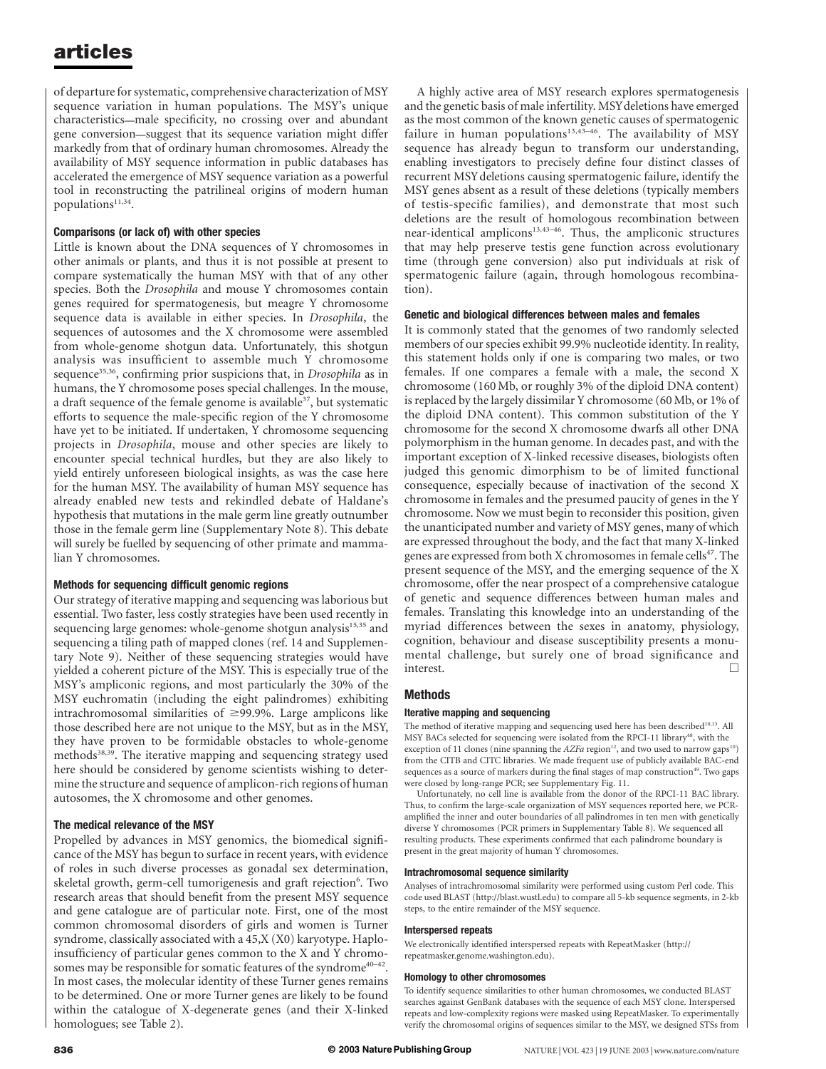of departure for systematic, comprehensive characterization of MSY sequence variation in human populations. The MSY's unique characteristics—male specificity, no crossing over and abundant gene conversion—suggest that its sequence variation might differ markedly from that of ordinary human chromosomes. Already the availability of MSY sequence information in public databases has accelerated the emergence of MSY sequence variation as a powerful tool in reconstructing the patrilineal origins of modern human populations<sup>11,34</sup>.

### Comparisons (or lack of) with other species

Little is known about the DNA sequences of Y chromosomes in other animals or plants, and thus it is not possible at present to compare systematically the human MSY with that of any other species. Both the Drosophila and mouse Y chromosomes contain genes required for spermatogenesis, but meagre Y chromosome sequence data is available in either species. In Drosophila, the sequences of autosomes and the X chromosome were assembled from whole-genome shotgun data. Unfortunately, this shotgun analysis was insufficient to assemble much Y chromosome sequence<sup>35,36</sup>, confirming prior suspicions that, in Drosophila as in humans, the Y chromosome poses special challenges. In the mouse, a draft sequence of the female genome is available<sup>37</sup>, but systematic efforts to sequence the male-specific region of the Y chromosome have yet to be initiated. If undertaken, Y chromosome sequencing projects in Drosophila, mouse and other species are likely to encounter special technical hurdles, but they are also likely to yield entirely unforeseen biological insights, as was the case here for the human MSY. The availability of human MSY sequence has already enabled new tests and rekindled debate of Haldane's hypothesis that mutations in the male germ line greatly outnumber those in the female germ line (Supplementary Note 8). This debate will surely be fuelled by sequencing of other primate and mammalian Y chromosomes.

### Methods for sequencing difficult genomic regions

Our strategy of iterative mapping and sequencing was laborious but essential. Two faster, less costly strategies have been used recently in sequencing large genomes: whole-genome shotgun analysis<sup>15,35</sup> and sequencing a tiling path of mapped clones (ref. 14 and Supplementary Note 9). Neither of these sequencing strategies would have yielded a coherent picture of the MSY. This is especially true of the MSY's ampliconic regions, and most particularly the 30% of the MSY euchromatin (including the eight palindromes) exhibiting intrachromosomal similarities of  $\geq$ 99.9%. Large amplicons like those described here are not unique to the MSY, but as in the MSY, they have proven to be formidable obstacles to whole-genome methods<sup>38,39</sup>. The iterative mapping and sequencing strategy used here should be considered by genome scientists wishing to determine the structure and sequence of amplicon-rich regions of human autosomes, the X chromosome and other genomes.

### The medical relevance of the MSY

Propelled by advances in MSY genomics, the biomedical significance of the MSY has begun to surface in recent years, with evidence of roles in such diverse processes as gonadal sex determination, skeletal growth, germ-cell tumorigenesis and graft rejection<sup>6</sup>. Two research areas that should benefit from the present MSY sequence and gene catalogue are of particular note. First, one of the most common chromosomal disorders of girls and women is Turner syndrome, classically associated with a 45,X (X0) karyotype. Haploinsufficiency of particular genes common to the X and Y chromosomes may be responsible for somatic features of the syndrome<sup>40-42</sup>. In most cases, the molecular identity of these Turner genes remains to be determined. One or more Turner genes are likely to be found within the catalogue of X-degenerate genes (and their X-linked homologues; see Table 2).

A highly active area of MSY research explores spermatogenesis and the genetic basis of male infertility. MSYdeletions have emerged as the most common of the known genetic causes of spermatogenic failure in human populations<sup>13,43-46</sup>. The availability of MSY sequence has already begun to transform our understanding, enabling investigators to precisely define four distinct classes of recurrent MSYdeletions causing spermatogenic failure, identify the MSY genes absent as a result of these deletions (typically members of testis-specific families), and demonstrate that most such deletions are the result of homologous recombination between near-identical amplicons<sup>13,43-46</sup>. Thus, the ampliconic structures that may help preserve testis gene function across evolutionary time (through gene conversion) also put individuals at risk of spermatogenic failure (again, through homologous recombination).

### Genetic and biological differences between males and females

It is commonly stated that the genomes of two randomly selected members of our species exhibit 99.9% nucleotide identity. In reality, this statement holds only if one is comparing two males, or two females. If one compares a female with a male, the second X chromosome (160 Mb, or roughly 3% of the diploid DNA content) is replaced by the largely dissimilar Y chromosome (60 Mb, or 1% of the diploid DNA content). This common substitution of the Y chromosome for the second X chromosome dwarfs all other DNA polymorphism in the human genome. In decades past, and with the important exception of X-linked recessive diseases, biologists often judged this genomic dimorphism to be of limited functional consequence, especially because of inactivation of the second X chromosome in females and the presumed paucity of genes in the Y chromosome. Now we must begin to reconsider this position, given the unanticipated number and variety of MSY genes, many of which are expressed throughout the body, and the fact that many X-linked genes are expressed from both X chromosomes in female cells<sup>47</sup>. The present sequence of the MSY, and the emerging sequence of the X chromosome, offer the near prospect of a comprehensive catalogue of genetic and sequence differences between human males and females. Translating this knowledge into an understanding of the myriad differences between the sexes in anatomy, physiology, cognition, behaviour and disease susceptibility presents a monumental challenge, but surely one of broad significance and interest.  $\Box$ 

### Methods

#### Iterative mapping and sequencing

The method of iterative mapping and sequencing used here has been described<sup>10,13</sup>. All MSY BACs selected for sequencing were isolated from the RPCI-11 library<sup>48</sup>, with the exception of 11 clones (nine spanning the  $AZFa$  region<sup>12</sup>, and two used to narrow gaps<sup>10</sup> from the CITB and CITC libraries. We made frequent use of publicly available BAC-end sequences as a source of markers during the final stages of map construction<sup>49</sup>. Two gaps were closed by long-range PCR; see Supplementary Fig. 11.

Unfortunately, no cell line is available from the donor of the RPCI-11 BAC library. Thus, to confirm the large-scale organization of MSY sequences reported here, we PCRamplified the inner and outer boundaries of all palindromes in ten men with genetically diverse Y chromosomes (PCR primers in Supplementary Table 8). We sequenced all resulting products. These experiments confirmed that each palindrome boundary is present in the great majority of human Y chromosomes.

#### Intrachromosomal sequence similarity

Analyses of intrachromosomal similarity were performed using custom Perl code. This code used BLAST (http://blast.wustl.edu) to compare all 5-kb sequence segments, in 2-kb steps, to the entire remainder of the MSY sequence.

#### Interspersed repeats

We electronically identified interspersed repeats with RepeatMasker (http:// repeatmasker.genome.washington.edu).

#### Homology to other chromosomes

To identify sequence similarities to other human chromosomes, we conducted BLAST searches against GenBank databases with the sequence of each MSY clone. Interspersed repeats and low-complexity regions were masked using RepeatMasker. To experimentally verify the chromosomal origins of sequences similar to the MSY, we designed STSs from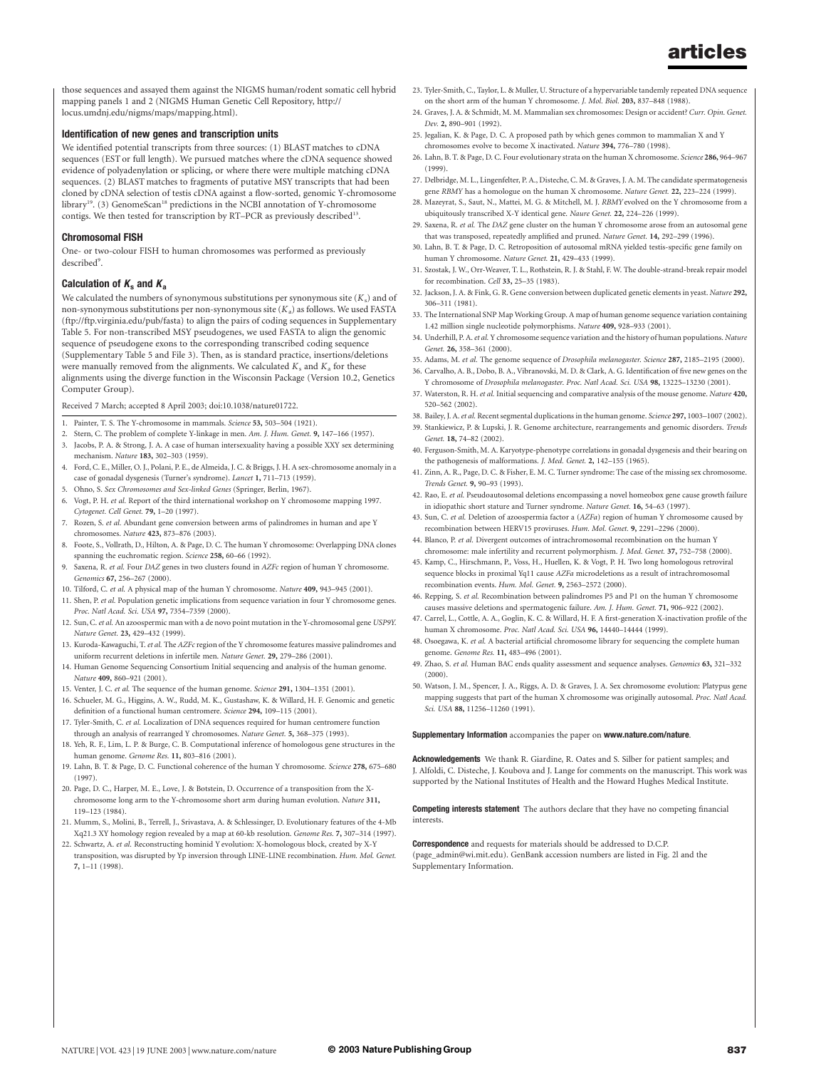those sequences and assayed them against the NIGMS human/rodent somatic cell hybrid mapping panels 1 and 2 (NIGMS Human Genetic Cell Repository, http:// locus.umdnj.edu/nigms/maps/mapping.html).

#### Identification of new genes and transcription units

We identified potential transcripts from three sources: (1) BLAST matches to cDNA sequences (EST or full length). We pursued matches where the cDNA sequence showed evidence of polyadenylation or splicing, or where there were multiple matching cDNA sequences. (2) BLAST matches to fragments of putative MSY transcripts that had been cloned by cDNA selection of testis cDNA against a flow-sorted, genomic Y-chromosome library<sup>19</sup>. (3) GenomeScan<sup>18</sup> predictions in the NCBI annotation of Y-chromosome contigs. We then tested for transcription by RT–PCR as previously described<sup>13</sup>.

#### Chromosomal FISH

One- or two-colour FISH to human chromosomes was performed as previously described<sup>9</sup>.

#### Calculation of  $K_s$  and  $K_a$

We calculated the numbers of synonymous substitutions per synonymous site  $(K_{\mathrm s})$  and of non-synonymous substitutions per non-synonymous site  $(K_a)$  as follows. We used FASTA (ftp://ftp.virginia.edu/pub/fasta) to align the pairs of coding sequences in Supplementary Table 5. For non-transcribed MSY pseudogenes, we used FASTA to align the genomic sequence of pseudogene exons to the corresponding transcribed coding sequence (Supplementary Table 5 and File 3). Then, as is standard practice, insertions/deletions were manually removed from the alignments. We calculated  $K_s$  and  $K_a$  for these alignments using the diverge function in the Wisconsin Package (Version 10.2, Genetics Computer Group).

Received 7 March; accepted 8 April 2003; doi:10.1038/nature01722.

- 1. Painter, T. S. The Y-chromosome in mammals. Science 53, 503–504 (1921).
- 2. Stern, C. The problem of complete Y-linkage in men. Am. J. Hum. Genet. 9, 147–166 (1957).
- 3. Jacobs, P. A. & Strong, J. A. A case of human intersexuality having a possible XXY sex determining mechanism. Nature 183, 302–303 (1959).
- 4. Ford, C. E., Miller, O. J., Polani, P. E., de Almeida, J. C. & Briggs, J. H. A sex-chromosome anomaly in a case of gonadal dysgenesis (Turner's syndrome). Lancet 1, 711–713 (1959).
- 5. Ohno, S. Sex Chromosomes and Sex-linked Genes (Springer, Berlin, 1967).
- 6. Vogt, P. H. et al. Report of the third international workshop on Y chromosome mapping 1997. Cytogenet. Cell Genet. 79, 1–20 (1997).
- 7. Rozen, S. et al. Abundant gene conversion between arms of palindromes in human and ape Y chromosomes. Nature 423, 873–876 (2003).
- 8. Foote, S., Vollrath, D., Hilton, A. & Page, D. C. The human Y chromosome: Overlapping DNA clones spanning the euchromatic region. Science 258, 60-66 (1992).
- Saxena, R. et al. Four DAZ genes in two clusters found in AZFc region of human Y chromosome. Genomics 67, 256–267 (2000).
- 10. Tilford, C. et al. A physical map of the human Y chromosome. Nature 409, 943–945 (2001).
- 11. Shen, P. et al. Population genetic implications from sequence variation in four Y chromosome genes. Proc. Natl Acad. Sci. USA 97, 7354–7359 (2000).
- 12. Sun, C. et al. An azoospermic man with a de novo point mutation in the Y-chromosomal gene USP9Y. Nature Genet. 23, 429–432 (1999).
- 13. Kuroda-Kawaguchi, T. et al. The AZFc region of the Y chromosome features massive palindromes and uniform recurrent deletions in infertile men. Nature Genet. 29, 279–286 (2001).
- 14. Human Genome Sequencing Consortium Initial sequencing and analysis of the human genome. Nature 409, 860–921 (2001).
- 15. Venter, J. C. et al. The sequence of the human genome. Science 291, 1304–1351 (2001). 16. Schueler, M. G., Higgins, A. W., Rudd, M. K., Gustashaw, K. & Willard, H. F. Genomic and genetic
- definition of a functional human centromere. Science 294, 109–115 (2001).
- 17. Tyler-Smith, C. et al. Localization of DNA sequences required for human centromere function through an analysis of rearranged Y chromosomes. Nature Genet. 5, 368–375 (1993).
- 18. Yeh, R. F., Lim, L. P. & Burge, C. B. Computational inference of homologous gene structures in the human genome. Genome Res. 11, 803–816 (2001).
- 19. Lahn, B. T. & Page, D. C. Functional coherence of the human Y chromosome. Science 278, 675–680 (1997).
- 20. Page, D. C., Harper, M. E., Love, J. & Botstein, D. Occurrence of a transposition from the Xchromosome long arm to the Y-chromosome short arm during human evolution. Nature 311, 119–123 (1984).
- 21. Mumm, S., Molini, B., Terrell, J., Srivastava, A. & Schlessinger, D. Evolutionary features of the 4-Mb Xq21.3 XY homology region revealed by a map at 60-kb resolution. Genome Res. 7, 307–314 (1997).
- 22. Schwartz, A. et al. Reconstructing hominid Y evolution: X-homologous block, created by X-Y transposition, was disrupted by Yp inversion through LINE-LINE recombination. Hum. Mol. Genet. 7, 1–11 (1998).
- 23. Tyler-Smith, C., Taylor, L. & Muller, U. Structure of a hypervariable tandemly repeated DNA sequence on the short arm of the human Y chromosome. J. Mol. Biol. 203, 837–848 (1988).
- 24. Graves, J. A. & Schmidt, M. M. Mammalian sex chromosomes: Design or accident? Curr. Opin. Genet. Dev. 2, 890–901 (1992).
- 25. Jegalian, K. & Page, D. C. A proposed path by which genes common to mammalian X and Y chromosomes evolve to become X inactivated. Nature 394, 776–780 (1998).
- 26. Lahn, B. T. & Page, D. C. Four evolutionary strata on the human X chromosome. Science 286, 964–967 (1999).
- 27. Delbridge, M. L., Lingenfelter, P. A., Disteche, C. M. & Graves, J. A. M. The candidate spermatogenesis gene RBMY has a homologue on the human X chromosome. Nature Genet. 22, 223–224 (1999).
- 28. Mazeyrat, S., Saut, N., Mattei, M. G. & Mitchell, M. J. RBMY evolved on the Y chromosome from a ubiquitously transcribed X-Y identical gene. Naure Genet. 22, 224–226 (1999).
- 29. Saxena, R. et al. The DAZ gene cluster on the human Y chromosome arose from an autosomal gene that was transposed, repeatedly amplified and pruned. Nature Genet. 14, 292–299 (1996).
- 30. Lahn, B. T. & Page, D. C. Retroposition of autosomal mRNA yielded testis-specific gene family on human Y chromosome. Nature Genet. 21, 429–433 (1999).
- 31. Szostak, J. W., Orr-Weaver, T. L., Rothstein, R. J. & Stahl, F. W. The double-strand-break repair model for recombination. Cell 33, 25–35 (1983).
- 32. Jackson, J. A. & Fink, G. R. Gene conversion between duplicated genetic elements in yeast. Nature 292, 306–311 (1981).
- 33. The International SNP Map Working Group. A map of human genome sequence variation containing 1.42 million single nucleotide polymorphisms. Nature 409, 928–933 (2001).
- 34. Underhill, P. A. et al. Y chromosome sequence variation and the history of human populations. Nature Genet. 26, 358–361 (2000).
- 35. Adams, M. et al. The genome sequence of Drosophila melanogaster. Science 287, 2185-2195 (2000). 36. Carvalho, A. B., Dobo, B. A., Vibranovski, M. D. & Clark, A. G. Identification of five new genes on the
- Y chromosome of Drosophila melanogaster. Proc. Natl Acad. Sci. USA 98, 13225–13230 (2001). 37. Waterston, R. H. et al. Initial sequencing and comparative analysis of the mouse genome. Nature 420,
- 520–562 (2002). 38. Bailey, J. A. et al. Recent segmental duplications in the human genome. Science 297, 1003-1007 (2002).
- 39. Stankiewicz, P. & Lupski, J. R. Genome architecture, rearrangements and genomic disorders. Trends Genet. 18, 74–82 (2002).
- 40. Ferguson-Smith, M. A. Karyotype-phenotype correlations in gonadal dysgenesis and their bearing on the pathogenesis of malformations. J. Med. Genet. 2, 142–155 (1965).
- 41. Zinn, A. R., Page, D. C. & Fisher, E. M. C. Turner syndrome: The case of the missing sex chromosome. Trends Genet. 9, 90–93 (1993).
- 42. Rao, E. et al. Pseudoautosomal deletions encompassing a novel homeobox gene cause growth failure in idiopathic short stature and Turner syndrome. Nature Genet. 16, 54–63 (1997).
- 43. Sun, C. et al. Deletion of azoospermia factor a  $(AZFa)$  region of human Y chromosome caused by recombination between HERV15 proviruses. Hum. Mol. Genet. 9, 2291–2296 (2000).
- 44. Blanco, P. et al. Divergent outcomes of intrachromosomal recombination on the human Y chromosome: male infertility and recurrent polymorphism. J. Med. Genet. 37, 752–758 (2000).
- 45. Kamp, C., Hirschmann, P., Voss, H., Huellen, K. & Vogt, P. H. Two long homologous retroviral sequence blocks in proximal Yq11 cause AZFa microdeletions as a result of intrachromosomal recombination events. Hum. Mol. Genet. 9, 2563–2572 (2000).
- 46. Repping, S. et al. Recombination between palindromes P5 and P1 on the human Y chromosome causes massive deletions and spermatogenic failure. Am. J. Hum. Genet. 71, 906–922 (2002).
- 47. Carrel, L., Cottle, A. A., Goglin, K. C. & Willard, H. F. A first-generation X-inactivation profile of the human X chromosome. Proc. Natl Acad. Sci. USA 96, 14440–14444 (1999).
- 48. Osoegawa, K. et al. A bacterial artificial chromosome library for sequencing the complete human genome. Genome Res. 11, 483–496 (2001).
- 49. Zhao, S. et al. Human BAC ends quality assessment and sequence analyses. Genomics 63, 321-332 (2000).
- 50. Watson, J. M., Spencer, J. A., Riggs, A. D. & Graves, J. A. Sex chromosome evolution: Platypus gene mapping suggests that part of the human X chromosome was originally autosomal. Proc. Natl Acad. Sci. USA 88, 11256–11260 (1991).

#### Supplementary Information accompanies the paper on www.nature.com/nature.

Acknowledgements We thank R. Giardine, R. Oates and S. Silber for patient samples; and J. Alfoldi, C. Disteche, J. Koubova and J. Lange for comments on the manuscript. This work was supported by the National Institutes of Health and the Howard Hughes Medical Institute.

Competing interests statement The authors declare that they have no competing financial interests.

#### Correspondence and requests for materials should be addressed to D.C.P.

(page\_admin@wi.mit.edu). GenBank accession numbers are listed in Fig. 2l and the Supplementary Information.